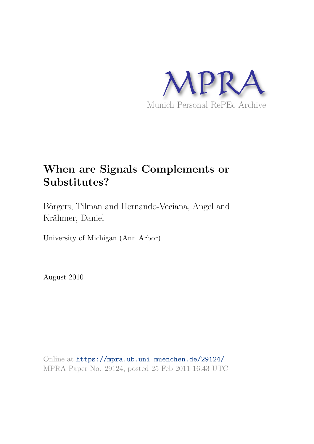

# **When are Signals Complements or Substitutes?**

Börgers, Tilman and Hernando-Veciana, Angel and Krähmer, Daniel

University of Michigan (Ann Arbor)

August 2010

Online at https://mpra.ub.uni-muenchen.de/29124/ MPRA Paper No. 29124, posted 25 Feb 2011 16:43 UTC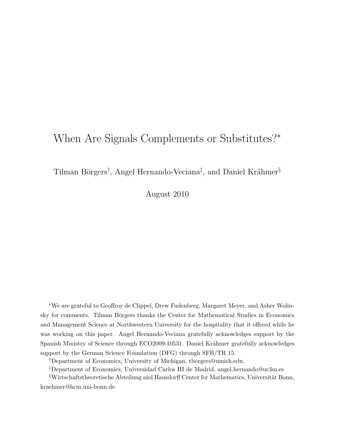# When Are Signals Complements or Substitutes?<sup>∗</sup>

Tilman Börgers<sup>†</sup>, Angel Hernando-Veciana<sup>‡</sup>, and Daniel Krähmer<sup>§</sup>

August 2010

<sup>∗</sup>We are grateful to Geoffroy de Clippel, Drew Fudenberg, Margaret Meyer, and Asher Wolinsky for comments. Tilman Börgers thanks the Center for Mathematical Studies in Economics and Management Science at Northwestern University for the hospitality that it offered while he was working on this paper. Angel Hernando-Veciana gratefully acknowledges support by the Spanish Ministry of Science through ECO2009-10531. Daniel Krähmer gratefully acknowledges support by the German Science Foundation (DFG) through SFB/TR 15.

†Department of Economics, University of Michigan, tborgers@umich.edu.

‡Department of Economics, Universidad Carlos III de Madrid, angel.hernando@uc3m.es

 $\frac{1}{2}W$ irtschaftstheoretische Abteilung and Hausdorff Center for Mathematics, Universität Bonn, kraehmer@hcm.uni-bonn.de.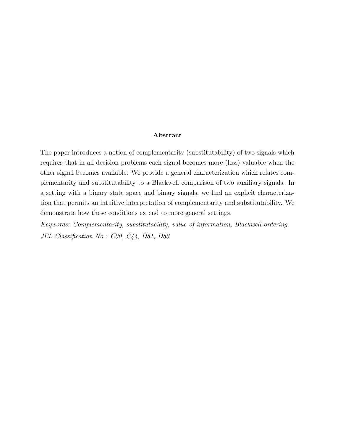#### Abstract

The paper introduces a notion of complementarity (substitutability) of two signals which requires that in all decision problems each signal becomes more (less) valuable when the other signal becomes available. We provide a general characterization which relates complementarity and substitutability to a Blackwell comparison of two auxiliary signals. In a setting with a binary state space and binary signals, we find an explicit characterization that permits an intuitive interpretation of complementarity and substitutability. We demonstrate how these conditions extend to more general settings.

Keywords: Complementarity, substitutability, value of information, Blackwell ordering. JEL Classification No.: C00, C44, D81, D83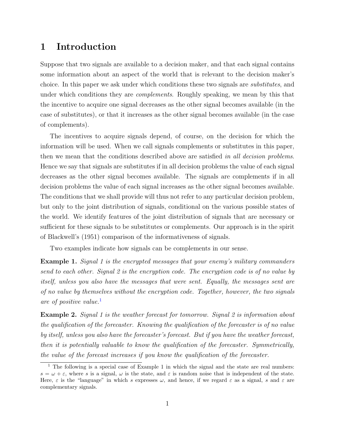# 1 Introduction

Suppose that two signals are available to a decision maker, and that each signal contains some information about an aspect of the world that is relevant to the decision maker's choice. In this paper we ask under which conditions these two signals are substitutes, and under which conditions they are *complements*. Roughly speaking, we mean by this that the incentive to acquire one signal decreases as the other signal becomes available (in the case of substitutes), or that it increases as the other signal becomes available (in the case of complements).

The incentives to acquire signals depend, of course, on the decision for which the information will be used. When we call signals complements or substitutes in this paper, then we mean that the conditions described above are satisfied in all decision problems. Hence we say that signals are substitutes if in all decision problems the value of each signal decreases as the other signal becomes available. The signals are complements if in all decision problems the value of each signal increases as the other signal becomes available. The conditions that we shall provide will thus not refer to any particular decision problem, but only to the joint distribution of signals, conditional on the various possible states of the world. We identify features of the joint distribution of signals that are necessary or sufficient for these signals to be substitutes or complements. Our approach is in the spirit of Blackwell's (1951) comparison of the informativeness of signals.

Two examples indicate how signals can be complements in our sense.

**Example 1.** Signal 1 is the encrypted messages that your enemy's military commanders send to each other. Signal 2 is the encryption code. The encryption code is of no value by itself, unless you also have the messages that were sent. Equally, the messages sent are of no value by themselves without the encryption code. Together, however, the two signals are of positive value. $\frac{1}{1}$ 

Example 2. Signal 1 is the weather forecast for tomorrow. Signal 2 is information about the qualification of the forecaster. Knowing the qualification of the forecaster is of no value by itself, unless you also have the forecaster's forecast. But if you have the weather forecast, then it is potentially valuable to know the qualification of the forecaster. Symmetrically, the value of the forecast increases if you know the qualification of the forecaster.

<sup>&</sup>lt;sup>1</sup> The following is a special case of Example 1 in which the signal and the state are real numbers:  $s = \omega + \varepsilon$ , where s is a signal,  $\omega$  is the state, and  $\varepsilon$  is random noise that is independent of the state. Here,  $\varepsilon$  is the "language" in which s expresses  $\omega$ , and hence, if we regard  $\varepsilon$  as a signal, s and  $\varepsilon$  are complementary signals.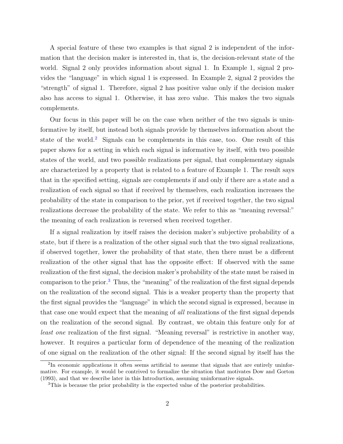A special feature of these two examples is that signal 2 is independent of the information that the decision maker is interested in, that is, the decision-relevant state of the world. Signal 2 only provides information about signal 1. In Example 1, signal 2 provides the "language" in which signal 1 is expressed. In Example 2, signal 2 provides the "strength" of signal 1. Therefore, signal 2 has positive value only if the decision maker also has access to signal 1. Otherwise, it has zero value. This makes the two signals complements.

Our focus in this paper will be on the case when neither of the two signals is uninformative by itself, but instead both signals provide by themselves information about the state of the world.<sup>2</sup> Signals can be complements in this case, too. One result of this paper shows for a setting in which each signal is informative by itself, with two possible states of the world, and two possible realizations per signal, that complementary signals are characterized by a property that is related to a feature of Example 1. The result says that in the specified setting, signals are complements if and only if there are a state and a realization of each signal so that if received by themselves, each realization increases the probability of the state in comparison to the prior, yet if received together, the two signal realizations decrease the probability of the state. We refer to this as "meaning reversal:" the meaning of each realization is reversed when received together.

If a signal realization by itself raises the decision maker's subjective probability of a state, but if there is a realization of the other signal such that the two signal realizations, if observed together, lower the probability of that state, then there must be a different realization of the other signal that has the opposite effect: If observed with the same realization of the first signal, the decision maker's probability of the state must be raised in comparison to the prior.<sup>3</sup> Thus, the "meaning" of the realization of the first signal depends on the realization of the second signal. This is a weaker property than the property that the first signal provides the "language" in which the second signal is expressed, because in that case one would expect that the meaning of all realizations of the first signal depends on the realization of the second signal. By contrast, we obtain this feature only for at least one realization of the first signal. "Meaning reversal" is restrictive in another way, however. It requires a particular form of dependence of the meaning of the realization of one signal on the realization of the other signal: If the second signal by itself has the

<sup>&</sup>lt;sup>2</sup>In economic applications it often seems artificial to assume that signals that are entirely uninformative. For example, it would be contrived to formalize the situation that motivates Dow and Gorton (1993), and that we describe later in this Introduction, assuming uninformative signals.

<sup>&</sup>lt;sup>3</sup>This is because the prior probability is the expected value of the posterior probabilities.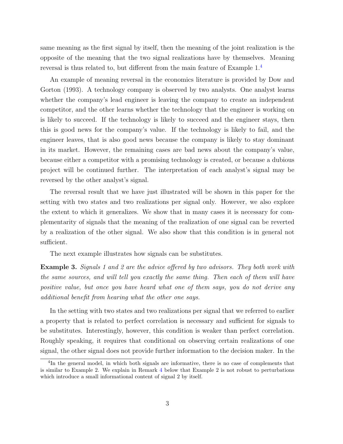same meaning as the first signal by itself, then the meaning of the joint realization is the opposite of the meaning that the two signal realizations have by themselves. Meaning reversal is thus related to, but different from the main feature of Example 1.<sup>4</sup>

An example of meaning reversal in the economics literature is provided by Dow and Gorton (1993). A technology company is observed by two analysts. One analyst learns whether the company's lead engineer is leaving the company to create an independent competitor, and the other learns whether the technology that the engineer is working on is likely to succeed. If the technology is likely to succeed and the engineer stays, then this is good news for the company's value. If the technology is likely to fail, and the engineer leaves, that is also good news because the company is likely to stay dominant in its market. However, the remaining cases are bad news about the company's value, because either a competitor with a promising technology is created, or because a dubious project will be continued further. The interpretation of each analyst's signal may be reversed by the other analyst's signal.

The reversal result that we have just illustrated will be shown in this paper for the setting with two states and two realizations per signal only. However, we also explore the extent to which it generalizes. We show that in many cases it is necessary for complementarity of signals that the meaning of the realization of one signal can be reverted by a realization of the other signal. We also show that this condition is in general not sufficient.

The next example illustrates how signals can be substitutes.

**Example 3.** Signals 1 and 2 are the advice offered by two advisors. They both work with the same sources, and will tell you exactly the same thing. Then each of them will have positive value, but once you have heard what one of them says, you do not derive any additional benefit from hearing what the other one says.

In the setting with two states and two realizations per signal that we referred to earlier a property that is related to perfect correlation is necessary and sufficient for signals to be substitutes. Interestingly, however, this condition is weaker than perfect correlation. Roughly speaking, it requires that conditional on observing certain realizations of one signal, the other signal does not provide further information to the decision maker. In the

<sup>&</sup>lt;sup>4</sup>In the general model, in which both signals are informative, there is no case of complements that is similar to Example 2. We explain in Remark 4 below that Example 2 is not robust to perturbations which introduce a small informational content of signal 2 by itself.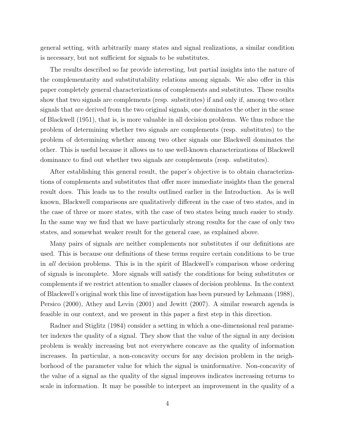general setting, with arbitrarily many states and signal realizations, a similar condition is necessary, but not sufficient for signals to be substitutes.

The results described so far provide interesting, but partial insights into the nature of the complementarity and substitutability relations among signals. We also offer in this paper completely general characterizations of complements and substitutes. These results show that two signals are complements (resp. substitutes) if and only if, among two other signals that are derived from the two original signals, one dominates the other in the sense of Blackwell (1951), that is, is more valuable in all decision problems. We thus reduce the problem of determining whether two signals are complements (resp. substitutes) to the problem of determining whether among two other signals one Blackwell dominates the other. This is useful because it allows us to use well-known characterizations of Blackwell dominance to find out whether two signals are complements (resp. substitutes).

After establishing this general result, the paper's objective is to obtain characterizations of complements and substitutes that offer more immediate insights than the general result does. This leads us to the results outlined earlier in the Introduction. As is well known, Blackwell comparisons are qualitatively different in the case of two states, and in the case of three or more states, with the case of two states being much easier to study. In the same way we find that we have particularly strong results for the case of only two states, and somewhat weaker result for the general case, as explained above.

Many pairs of signals are neither complements nor substitutes if our definitions are used. This is because our definitions of these terms require certain conditions to be true in all decision problems. This is in the spirit of Blackwell's comparison whose ordering of signals is incomplete. More signals will satisfy the conditions for being substitutes or complements if we restrict attention to smaller classes of decision problems. In the context of Blackwell's original work this line of investigation has been pursued by Lehmann (1988), Persico (2000), Athey and Levin (2001) and Jewitt (2007). A similar research agenda is feasible in our context, and we present in this paper a first step in this direction.

Radner and Stiglitz (1984) consider a setting in which a one-dimensional real parameter indexes the quality of a signal. They show that the value of the signal in any decision problem is weakly increasing but not everywhere concave as the quality of information increases. In particular, a non-concavity occurs for any decision problem in the neighborhood of the parameter value for which the signal is uninformative. Non-concavity of the value of a signal as the quality of the signal improves indicates increasing returns to scale in information. It may be possible to interpret an improvement in the quality of a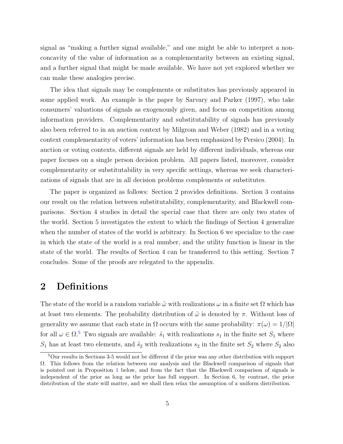signal as "making a further signal available," and one might be able to interpret a nonconcavity of the value of information as a complementarity between an existing signal, and a further signal that might be made available. We have not yet explored whether we can make these analogies precise.

The idea that signals may be complements or substitutes has previously appeared in some applied work. An example is the paper by Sarvary and Parker (1997), who take consumers' valuations of signals as exogenously given, and focus on competition among information providers. Complementarity and substitutability of signals has previously also been referred to in an auction context by Milgrom and Weber (1982) and in a voting context complementarity of voters' information has been emphasized by Persico (2004). In auction or voting contexts, different signals are held by different individuals, whereas our paper focuses on a single person decision problem. All papers listed, moreover, consider complementarity or substitutability in very specific settings, whereas we seek characterizations of signals that are in all decision problems complements or substitutes.

The paper is organized as follows: Section 2 provides definitions. Section 3 contains our result on the relation between substitutability, complementarity, and Blackwell comparisons. Section 4 studies in detail the special case that there are only two states of the world. Section 5 investigates the extent to which the findings of Section 4 generalize when the number of states of the world is arbitrary. In Section 6 we specialize to the case in which the state of the world is a real number, and the utility function is linear in the state of the world. The results of Section 4 can be transferred to this setting. Section 7 concludes. Some of the proofs are relegated to the appendix.

## 2 Definitions

The state of the world is a random variable  $\tilde{\omega}$  with realizations  $\omega$  in a finite set  $\Omega$  which has at least two elements. The probability distribution of  $\tilde{\omega}$  is denoted by  $\pi$ . Without loss of generality we assume that each state in  $\Omega$  occurs with the same probability:  $\pi(\omega) = 1/|\Omega|$ for all  $\omega \in \Omega$ .<sup>5</sup> Two signals are available:  $\tilde{s}_1$  with realizations  $s_1$  in the finite set  $S_1$  where  $S_1$  has at least two elements, and  $\tilde{s}_2$  with realizations  $s_2$  in the finite set  $S_2$  where  $S_2$  also

 $5$ Our results in Sections 3-5 would not be different if the prior was any other distribution with support Ω. This follows from the relation between our analysis and the Blackwell comparison of signals that is pointed out in Proposition 1 below, and from the fact that the Blackwell comparison of signals is independent of the prior as long as the prior has full support. In Section 6, by contrast, the prior distribution of the state will matter, and we shall then relax the assumption of a uniform distribution.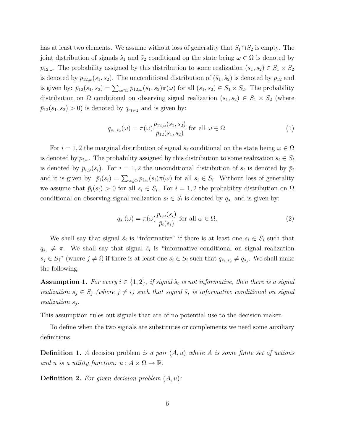has at least two elements. We assume without loss of generality that  $S_1 \cap S_2$  is empty. The joint distribution of signals  $\tilde{s}_1$  and  $\tilde{s}_2$  conditional on the state being  $\omega \in \Omega$  is denoted by  $p_{12,\omega}$ . The probability assigned by this distribution to some realization  $(s_1, s_2) \in S_1 \times S_2$ is denoted by  $p_{12,\omega}(s_1, s_2)$ . The unconditional distribution of  $(\tilde{s}_1, \tilde{s}_2)$  is denoted by  $\bar{p}_{12}$  and is given by:  $\bar{p}_{12}(s_1, s_2) = \sum_{\omega \in \Omega} p_{12,\omega}(s_1, s_2) \pi(\omega)$  for all  $(s_1, s_2) \in S_1 \times S_2$ . The probability distribution on  $\Omega$  conditional on observing signal realization  $(s_1, s_2) \in S_1 \times S_2$  (where  $\bar{p}_{12}(s_1, s_2) > 0$ ) is denoted by  $q_{s_1, s_2}$  and is given by:

$$
q_{s_1, s_2}(\omega) = \pi(\omega) \frac{p_{12, \omega}(s_1, s_2)}{\bar{p}_{12}(s_1, s_2)} \text{ for all } \omega \in \Omega.
$$
 (1)

For  $i = 1, 2$  the marginal distribution of signal  $\tilde{s}_i$  conditional on the state being  $\omega \in \Omega$ is denoted by  $p_{i,\omega}$ . The probability assigned by this distribution to some realization  $s_i \in S_i$ is denoted by  $p_{i,\omega}(s_i)$ . For  $i=1,2$  the unconditional distribution of  $\tilde{s}_i$  is denoted by  $\bar{p}_i$ and it is given by:  $\bar{p}_i(s_i) = \sum_{\omega \in \Omega} p_{i,\omega}(s_i) \pi(\omega)$  for all  $s_i \in S_i$ . Without loss of generality we assume that  $\bar{p}_i(s_i) > 0$  for all  $s_i \in S_i$ . For  $i = 1, 2$  the probability distribution on  $\Omega$ conditional on observing signal realization  $s_i \in S_i$  is denoted by  $q_{s_i}$  and is given by:

$$
q_{s_i}(\omega) = \pi(\omega) \frac{p_{i,\omega}(s_i)}{\bar{p}_i(s_i)} \text{ for all } \omega \in \Omega.
$$
 (2)

We shall say that signal  $\tilde{s}_i$  is "informative" if there is at least one  $s_i \in S_i$  such that  $q_{s_i} \neq \pi$ . We shall say that signal  $\tilde{s}_i$  is "informative conditional on signal realization  $s_j \in S_j$ " (where  $j \neq i$ ) if there is at least one  $s_i \in S_i$  such that  $q_{s_1,s_2} \neq q_{s_j}$ . We shall make the following:

**Assumption 1.** For every  $i \in \{1,2\}$ , if signal  $\tilde{s}_i$  is not informative, then there is a signal realization  $s_j \in S_j$  (where  $j \neq i$ ) such that signal  $\tilde{s}_i$  is informative conditional on signal realization  $s_j$ .

This assumption rules out signals that are of no potential use to the decision maker.

To define when the two signals are substitutes or complements we need some auxiliary definitions.

**Definition 1.** A decision problem is a pair  $(A, u)$  where A is some finite set of actions and u is a utility function:  $u : A \times \Omega \to \mathbb{R}$ .

**Definition 2.** For given decision problem  $(A, u)$ :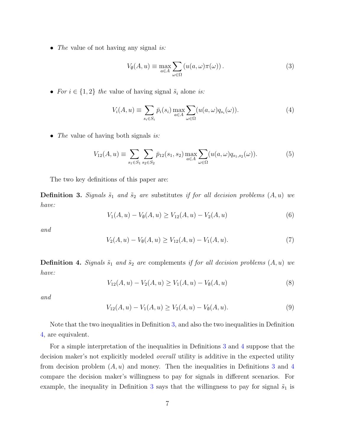• The value of not having any signal is:

$$
V_{\emptyset}(A, u) \equiv \max_{a \in A} \sum_{\omega \in \Omega} \left( u(a, \omega) \pi(\omega) \right). \tag{3}
$$

• For  $i \in \{1,2\}$  the value of having signal  $\tilde{s}_i$  alone is:

$$
V_i(A, u) \equiv \sum_{s_i \in S_i} \bar{p}_i(s_i) \max_{a \in A} \sum_{\omega \in \Omega} (u(a, \omega) q_{s_i}(\omega)).
$$
\n(4)

• The value of having both signals is:

$$
V_{12}(A, u) \equiv \sum_{s_1 \in S_1} \sum_{s_2 \in S_2} \bar{p}_{12}(s_1, s_2) \max_{a \in A} \sum_{\omega \in \Omega} (u(a, \omega) q_{s_1, s_2}(\omega)).
$$
 (5)

The two key definitions of this paper are:

**Definition 3.** Signals  $\tilde{s}_1$  and  $\tilde{s}_2$  are substitutes if for all decision problems  $(A, u)$  we have:

$$
V_1(A, u) - V_0(A, u) \ge V_{12}(A, u) - V_2(A, u)
$$
\n(6)

and

$$
V_2(A, u) - V_0(A, u) \ge V_{12}(A, u) - V_1(A, u). \tag{7}
$$

**Definition 4.** Signals  $\tilde{s}_1$  and  $\tilde{s}_2$  are complements if for all decision problems  $(A, u)$  we have:

$$
V_{12}(A, u) - V_2(A, u) \ge V_1(A, u) - V_\emptyset(A, u)
$$
\n(8)

and

$$
V_{12}(A, u) - V_1(A, u) \ge V_2(A, u) - V_\emptyset(A, u). \tag{9}
$$

Note that the two inequalities in Definition 3, and also the two inequalities in Definition 4, are equivalent.

For a simple interpretation of the inequalities in Definitions 3 and 4 suppose that the decision maker's not explicitly modeled overall utility is additive in the expected utility from decision problem  $(A, u)$  and money. Then the inequalities in Definitions 3 and 4 compare the decision maker's willingness to pay for signals in different scenarios. For example, the inequality in Definition 3 says that the willingness to pay for signal  $\tilde{s}_1$  is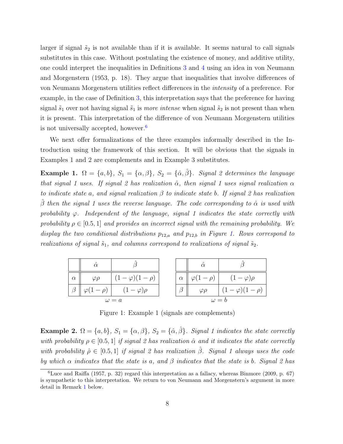larger if signal  $\tilde{s}_2$  is not available than if it is available. It seems natural to call signals substitutes in this case. Without postulating the existence of money, and additive utility, one could interpret the inequalities in Definitions 3 and 4 using an idea in von Neumann and Morgenstern (1953, p. 18). They argue that inequalities that involve differences of von Neumann Morgenstern utilities reflect differences in the intensity of a preference. For example, in the case of Definition 3, this interpretation says that the preference for having signal  $\tilde{s}_1$  over not having signal  $\tilde{s}_1$  is more intense when signal  $\tilde{s}_2$  is not present than when it is present. This interpretation of the difference of von Neumann Morgenstern utilities is not universally accepted, however.<sup>6</sup>

We next offer formalizations of the three examples informally described in the Introduction using the framework of this section. It will be obvious that the signals in Examples 1 and 2 are complements and in Example 3 substitutes.

Example 1.  $\Omega = \{a, b\}$ ,  $S_1 = \{\alpha, \beta\}$ ,  $S_2 = \{\hat{\alpha}, \hat{\beta}\}$ . Signal 2 determines the language that signal 1 uses. If signal 2 has realization  $\hat{\alpha}$ , then signal 1 uses signal realization  $\alpha$ to indicate state a, and signal realization  $\beta$  to indicate state b. If signal 2 has realization  $\hat{\beta}$  then the signal 1 uses the reverse language. The code corresponding to  $\hat{\alpha}$  is used with probability  $\varphi$ . Independent of the language, signal 1 indicates the state correctly with probability  $\rho \in [0.5, 1]$  and provides an incorrect signal with the remaining probability. We display the two conditional distributions  $p_{12,a}$  and  $p_{12,b}$  in Figure 1. Rows correspond to realizations of signal  $\tilde{s}_1$ , and columns correspond to realizations of signal  $\tilde{s}_2$ .

|          | $\hat{\phantom{a}}$<br>$\alpha$ |                   |          |                   |                           |
|----------|---------------------------------|-------------------|----------|-------------------|---------------------------|
| $\alpha$ | $\varphi$                       | $(1-\rho)$        | $\alpha$ | $\varphi(1-\rho)$ | $(1-\varphi)\rho$         |
|          | $\varphi(1-\rho)$               | $(1-\varphi)\rho$ |          | $\varphi \rho$    | $(-\varphi)(1-\rho)^{-1}$ |
|          |                                 | $\omega = a$      |          | $\omega = b$      |                           |

Figure 1: Example 1 (signals are complements)

Example 2.  $\Omega = \{a, b\}$ ,  $S_1 = \{\alpha, \beta\}$ ,  $S_2 = \{\hat{\alpha}, \hat{\beta}\}$ . Signal 1 indicates the state correctly with probability  $\rho \in [0.5, 1]$  if signal 2 has realization  $\hat{\alpha}$  and it indicates the state correctly with probability  $\hat{\rho} \in [0.5, 1]$  if signal 2 has realization  $\hat{\beta}$ . Signal 1 always uses the code by which  $\alpha$  indicates that the state is a, and  $\beta$  indicates that the state is b. Signal 2 has

 ${}^{6}$ Luce and Raiffa (1957, p. 32) regard this interpretation as a fallacy, whereas Binmore (2009, p. 67) is sympathetic to this interpretation. We return to von Neumann and Morgenstern's argument in more detail in Remark 1 below.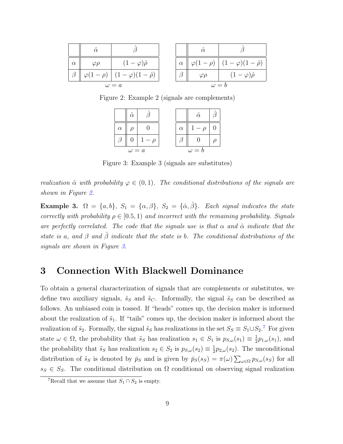|          |               |                          |          | $\wedge$          |                          |
|----------|---------------|--------------------------|----------|-------------------|--------------------------|
| $\alpha$ | $\varphi\rho$ | $(-\varphi)\hat{\rho}$   | $\alpha$ | $\varphi(1-\rho)$ | $-\varphi(1-\hat{\rho})$ |
|          | $\varphi$ l   | $(-\varphi)(1-\hat\rho)$ |          | $\varphi\rho$     | $-\varphi)\hat{\rho}$    |
|          |               | $\omega = a$             |          | $\omega = b$      |                          |

Figure 2: Example 2 (signals are complements)



Figure 3: Example 3 (signals are substitutes)

realization  $\hat{\alpha}$  with probability  $\varphi \in (0,1)$ . The conditional distributions of the signals are shown in Figure 2.

Example 3.  $\Omega = \{a, b\}$ ,  $S_1 = \{\alpha, \beta\}$ ,  $S_2 = \{\hat{\alpha}, \hat{\beta}\}$ . Each signal indicates the state correctly with probability  $\rho \in [0.5, 1)$  and incorrect with the remaining probability. Signals are perfectly correlated. The code that the signals use is that  $\alpha$  and  $\hat{\alpha}$  indicate that the state is a, and  $\beta$  and  $\beta$  indicate that the state is b. The conditional distributions of the signals are shown in Figure 3.

### 3 Connection With Blackwell Dominance

To obtain a general characterization of signals that are complements or substitutes, we define two auxiliary signals,  $\tilde{s}_S$  and  $\tilde{s}_C$ . Informally, the signal  $\tilde{s}_S$  can be described as follows. An unbiased coin is tossed. If "heads" comes up, the decision maker is informed about the realization of  $\tilde{s}_1$ . If "tails" comes up, the decision maker is informed about the realization of  $\tilde{s}_2$ . Formally, the signal  $\tilde{s}_S$  has realizations in the set  $S_S \equiv S_1 \cup S_2$ .<sup>7</sup> For given state  $\omega \in \Omega$ , the probability that  $\tilde{s}_S$  has realization  $s_1 \in S_1$  is  $p_{S,\omega}(s_1) \equiv \frac{1}{2}$  $\frac{1}{2}p_{1,\omega}(s_1)$ , and the probability that  $\tilde{s}_S$  has realization  $s_2 \in S_2$  is  $p_{S,\omega}(s_2) \equiv \frac{1}{2}$  $\frac{1}{2}p_{2,\omega}(s_2)$ . The unconditional distribution of  $\tilde{s}_S$  is denoted by  $\bar{p}_S$  and is given by  $\bar{p}_S(s_S) = \pi(\omega) \sum_{\omega \in \Omega} p_{S,\omega}(s_S)$  for all  $s_S \in S_S$ . The conditional distribution on  $\Omega$  conditional on observing signal realization

<sup>&</sup>lt;sup>7</sup>Recall that we assume that  $S_1 \cap S_2$  is empty.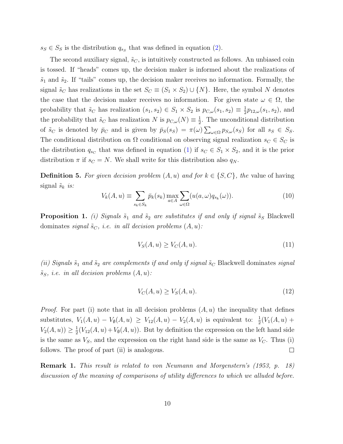$s_S \in S_S$  is the distribution  $q_{s_S}$  that was defined in equation (2).

The second auxiliary signal,  $\tilde{s}_C$ , is intuitively constructed as follows. An unbiased coin is tossed. If "heads" comes up, the decision maker is informed about the realizations of  $\tilde{s}_1$  and  $\tilde{s}_2$ . If "tails" comes up, the decision maker receives no information. Formally, the signal  $\tilde{s}_C$  has realizations in the set  $S_C \equiv (S_1 \times S_2) \cup \{N\}$ . Here, the symbol N denotes the case that the decision maker receives no information. For given state  $\omega \in \Omega$ , the probability that  $\tilde{s}_C$  has realization  $(s_1, s_2) \in S_1 \times S_2$  is  $p_{C,\omega}(s_1, s_2) \equiv \frac{1}{2}$  $\frac{1}{2}p_{12,\omega}(s_1,s_2)$ , and the probability that  $\tilde{s}_C$  has realization N is  $p_{C,\omega}(N) \equiv \frac{1}{2}$  $\frac{1}{2}$ . The unconditional distribution of  $\tilde{s}_C$  is denoted by  $\bar{p}_C$  and is given by  $\bar{p}_S(s_S) = \pi(\omega) \sum_{\omega \in \Omega} p_{S,\omega}(s_S)$  for all  $s_S \in S_S$ . The conditional distribution on  $\Omega$  conditional on observing signal realization  $s_C \in S_C$  is the distribution  $q_{s_C}$  that was defined in equation (1) if  $s_C \in S_1 \times S_2$ , and it is the prior distribution  $\pi$  if  $s_C = N$ . We shall write for this distribution also  $q_N$ .

**Definition 5.** For given decision problem  $(A, u)$  and for  $k \in \{S, C\}$ , the value of having signal  $\tilde{s}_k$  is:

$$
V_k(A, u) \equiv \sum_{s_k \in S_k} \bar{p}_k(s_k) \max_{a \in A} \sum_{\omega \in \Omega} (u(a, \omega) q_{s_k}(\omega)).
$$
\n(10)

**Proposition 1.** (i) Signals  $\tilde{s}_1$  and  $\tilde{s}_2$  are substitutes if and only if signal  $\tilde{s}_S$  Blackwell dominates signal  $\tilde{s}_C$ , i.e. in all decision problems  $(A, u)$ :

$$
V_S(A, u) \ge V_C(A, u). \tag{11}
$$

(ii) Signals  $\tilde{s}_1$  and  $\tilde{s}_2$  are complements if and only if signal  $\tilde{s}_C$  Blackwell dominates signal  $\tilde{s}_S$ , i.e. in all decision problems  $(A, u)$ :

$$
V_C(A, u) \ge V_S(A, u). \tag{12}
$$

*Proof.* For part (i) note that in all decision problems  $(A, u)$  the inequality that defines substitutes,  $V_1(A, u) - V_0(A, u) \ge V_{12}(A, u) - V_2(A, u)$  is equivalent to:  $\frac{1}{2}(V_1(A, u) +$  $V_2(A, u) \geq \frac{1}{2}$  $\frac{1}{2}(V_{12}(A, u) + V_{\emptyset}(A, u))$ . But by definition the expression on the left hand side is the same as  $V_s$ , and the expression on the right hand side is the same as  $V_c$ . Thus (i) follows. The proof of part (ii) is analogous.  $\Box$ 

Remark 1. This result is related to von Neumann and Morgenstern's (1953, p. 18) discussion of the meaning of comparisons of utility differences to which we alluded before.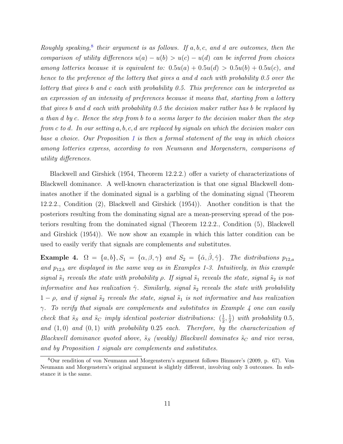Roughly speaking,<sup>8</sup> their argument is as follows. If  $a, b, c$ , and d are outcomes, then the comparison of utility differences  $u(a) - u(b) > u(c) - u(d)$  can be inferred from choices among lotteries because it is equivalent to:  $0.5u(a) + 0.5u(d) > 0.5u(b) + 0.5u(c)$ , and hence to the preference of the lottery that gives a and d each with probability 0.5 over the lottery that gives b and c each with probability 0.5. This preference can be interpreted as an expression of an intensity of preferences because it means that, starting from a lottery that gives b and d each with probability 0.5 the decision maker rather has b be replaced by a than d by c. Hence the step from b to a seems larger to the decision maker than the step from c to d. In our setting a, b, c, d are replaced by signals on which the decision maker can base a choice. Our Proposition  $1$  is then a formal statement of the way in which choices among lotteries express, according to von Neumann and Morgenstern, comparisons of utility differences.

Blackwell and Girshick (1954, Theorem 12.2.2.) offer a variety of characterizations of Blackwell dominance. A well-known characterization is that one signal Blackwell dominates another if the dominated signal is a garbling of the dominating signal (Theorem 12.2.2., Condition (2), Blackwell and Girshick (1954)). Another condition is that the posteriors resulting from the dominating signal are a mean-preserving spread of the posteriors resulting from the dominated signal (Theorem 12.2.2., Condition (5), Blackwell and Girshick (1954)). We now show an example in which this latter condition can be used to easily verify that signals are complements and substitutes.

Example 4.  $\Omega = \{a, b\}, S_1 = \{\alpha, \beta, \gamma\}$  and  $S_2 = \{\hat{\alpha}, \hat{\beta}, \hat{\gamma}\}.$  The distributions  $p_{12,a}$ and  $p_{12,b}$  are displayed in the same way as in Examples 1-3. Intuitively, in this example signal  $\tilde{s}_1$  reveals the state with probability  $\rho$ . If signal  $\tilde{s}_1$  reveals the state, signal  $\tilde{s}_2$  is not informative and has realization  $\hat{\gamma}$ . Similarly, signal  $\tilde{s}_2$  reveals the state with probability  $1 - \rho$ , and if signal  $\tilde{s}_2$  reveals the state, signal  $\tilde{s}_1$  is not informative and has realization  $\gamma$ . To verify that signals are complements and substitutes in Example 4 one can easily check that  $\tilde{s}_S$  and  $\tilde{s}_C$  imply identical posterior distributions:  $(\frac{1}{2})$  $\frac{1}{2}, \frac{1}{2}$  $\frac{1}{2}$ ) with probability 0.5, and  $(1,0)$  and  $(0,1)$  with probability 0.25 each. Therefore, by the characterization of Blackwell dominance quoted above,  $\tilde{s}_S$  (weakly) Blackwell dominates  $\tilde{s}_C$  and vice versa, and by Proposition 1 signals are complements and substitutes.

<sup>8</sup>Our rendition of von Neumann and Morgenstern's argument follows Binmore's (2009, p. 67). Von Neumann and Morgenstern's original argument is slightly different, involving only 3 outcomes. In substance it is the same.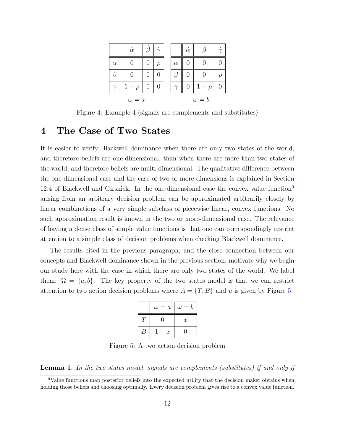|          | $\hat{\alpha}$ | $\hat{\beta}$ | $\hat{\gamma}$   |          | $\hat{\alpha}$ |              | $\hat{\phantom{1}}$ |
|----------|----------------|---------------|------------------|----------|----------------|--------------|---------------------|
| $\alpha$ |                |               | $\rho$           | $\alpha$ |                |              |                     |
| В        |                |               |                  |          |                |              |                     |
|          | $-\rho$        | 0             | $\left( \right)$ | $\gamma$ | 0              | $-\rho$      |                     |
|          | $\omega = a$   |               |                  |          |                | $\omega = b$ |                     |

Figure 4: Example 4 (signals are complements and substitutes)

### 4 The Case of Two States

It is easier to verify Blackwell dominance when there are only two states of the world, and therefore beliefs are one-dimensional, than when there are more than two states of the world, and therefore beliefs are multi-dimensional. The qualitative difference between the one-dimensional case and the case of two or more dimensions is explained in Section 12.4 of Blackwell and Girshick. In the one-dimensional case the convex value function<sup>9</sup> arising from an arbitrary decision problem can be approximated arbitrarily closely by linear combinations of a very simple subclass of piecewise linear, convex functions. No such approximation result is known in the two or more-dimensional case. The relevance of having a dense class of simple value functions is that one can correspondingly restrict attention to a simple class of decision problems when checking Blackwell dominance.

The results cited in the previous paragraph, and the close connection between our concepts and Blackwell dominance shown in the previous section, motivate why we begin our study here with the case in which there are only two states of the world. We label them:  $\Omega = \{a, b\}$ . The key property of the two states model is that we can restrict attention to two action decision problems where  $A = \{T, B\}$  and u is given by Figure 5.

| $\omega = a$     | $\omega = b$     |
|------------------|------------------|
|                  | $\boldsymbol{x}$ |
| $\boldsymbol{x}$ |                  |

Figure 5: A two action decision problem

**Lemma 1.** In the two states model, signals are complements (substitutes) if and only if

<sup>&</sup>lt;sup>9</sup>Value functions map posterior beliefs into the expected utility that the decision maker obtains when holding those beliefs and choosing optimally. Every decision problem gives rise to a convex value function.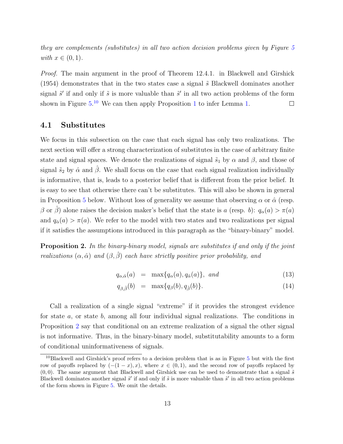they are complements (substitutes) in all two action decision problems given by Figure 5 with  $x \in (0,1)$ .

Proof. The main argument in the proof of Theorem 12.4.1. in Blackwell and Girshick  $(1954)$  demonstrates that in the two states case a signal  $\tilde{s}$  Blackwell dominates another signal  $\tilde{s}'$  if and only if  $\tilde{s}$  is more valuable than  $\tilde{s}'$  in all two action problems of the form shown in Figure  $5^{10}$  We can then apply Proposition 1 to infer Lemma 1.  $\Box$ 

#### 4.1 Substitutes

We focus in this subsection on the case that each signal has only two realizations. The next section will offer a strong characterization of substitutes in the case of arbitrary finite state and signal spaces. We denote the realizations of signal  $\tilde{s}_1$  by  $\alpha$  and  $\beta$ , and those of signal  $\tilde{s}_2$  by  $\hat{\alpha}$  and  $\hat{\beta}$ . We shall focus on the case that each signal realization individually is informative, that is, leads to a posterior belief that is different from the prior belief. It is easy to see that otherwise there can't be substitutes. This will also be shown in general in Proposition 5 below. Without loss of generality we assume that observing  $\alpha$  or  $\hat{\alpha}$  (resp. β or β alone raises the decision maker's belief that the state is a (resp. b):  $q_α(a) > π(a)$ and  $q_{\hat{\alpha}}(a) > \pi(a)$ . We refer to the model with two states and two realizations per signal if it satisfies the assumptions introduced in this paragraph as the "binary-binary" model.

**Proposition 2.** In the binary-binary model, signals are substitutes if and only if the joint realizations  $(\alpha, \hat{\alpha})$  and  $(\beta, \hat{\beta})$  each have strictly positive prior probability, and

$$
q_{\alpha,\hat{\alpha}}(a) = \max\{q_{\alpha}(a), q_{\hat{\alpha}}(a)\}, \text{ and} \tag{13}
$$

$$
q_{\beta,\hat{\beta}}(b) = \max\{q_{\beta}(b), q_{\hat{\beta}}(b)\}.
$$
\n(14)

Call a realization of a single signal "extreme" if it provides the strongest evidence for state a, or state b, among all four individual signal realizations. The conditions in Proposition 2 say that conditional on an extreme realization of a signal the other signal is not informative. Thus, in the binary-binary model, substitutability amounts to a form of conditional uninformativeness of signals.

<sup>&</sup>lt;sup>10</sup>Blackwell and Girshick's proof refers to a decision problem that is as in Figure 5 but with the first row of payoffs replaced by  $(-(1-x), x)$ , where  $x \in (0, 1)$ , and the second row of payoffs replaced by  $(0, 0)$ . The same argument that Blackwell and Girshick use can be used to demonstrate that a signal  $\tilde{s}$ Blackwell dominates another signal  $\tilde{s}'$  if and only if  $\tilde{s}$  is more valuable than  $\tilde{s}'$  in all two action problems of the form shown in Figure 5. We omit the details.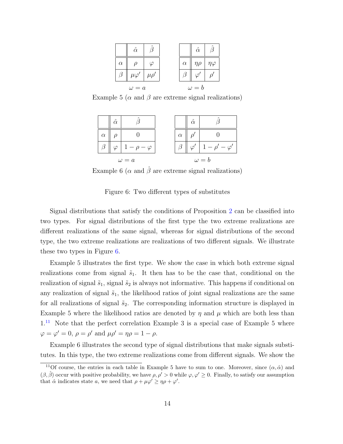|              | $\hat{\alpha}$ |            |          | $\hat{\alpha}$ |                |
|--------------|----------------|------------|----------|----------------|----------------|
| $\alpha$     |                |            | $\alpha$ | $\eta \rho$    | $\eta \varphi$ |
|              | $\mu\varphi'$  | $\mu\rho'$ |          |                |                |
| $\omega = a$ |                |            |          | $\omega = b$   |                |

Example 5 ( $\alpha$  and  $\beta$  are extreme signal realizations)

|          | $\hat{\alpha}$ |              |          | $\hat{\alpha}$ |              |
|----------|----------------|--------------|----------|----------------|--------------|
| $\alpha$ |                |              | $\alpha$ |                |              |
|          | $\epsilon$     | $\omega$     |          |                | $\varphi$    |
|          |                | $\omega = a$ |          |                | $\omega = b$ |

Example 6 ( $\alpha$  and  $\hat{\beta}$  are extreme signal realizations)

Figure 6: Two different types of substitutes

Signal distributions that satisfy the conditions of Proposition 2 can be classified into two types. For signal distributions of the first type the two extreme realizations are different realizations of the same signal, whereas for signal distributions of the second type, the two extreme realizations are realizations of two different signals. We illustrate these two types in Figure 6.

Example 5 illustrates the first type. We show the case in which both extreme signal realizations come from signal  $\tilde{s}_1$ . It then has to be the case that, conditional on the realization of signal  $\tilde{s}_1$ , signal  $\tilde{s}_2$  is always not informative. This happens if conditional on any realization of signal  $\tilde{s}_1$ , the likelihood ratios of joint signal realizations are the same for all realizations of signal  $\tilde{s}_2$ . The corresponding information structure is displayed in Example 5 where the likelihood ratios are denoted by  $\eta$  and  $\mu$  which are both less than  $1<sup>11</sup>$  Note that the perfect correlation Example 3 is a special case of Example 5 where  $\varphi = \varphi' = 0, \, \rho = \rho' \text{ and } \mu \rho' = \eta \rho = 1 - \rho.$ 

Example 6 illustrates the second type of signal distributions that make signals substitutes. In this type, the two extreme realizations come from different signals. We show the

<sup>&</sup>lt;sup>11</sup>Of course, the entries in each table in Example 5 have to sum to one. Moreover, since  $(\alpha, \hat{\alpha})$  and  $(\beta, \hat{\beta})$  occur with positive probability, we have  $\rho, \rho' > 0$  while  $\varphi, \varphi' \geq 0$ . Finally, to satisfy our assumption that  $\hat{\alpha}$  indicates state a, we need that  $\rho + \mu \varphi' \ge \eta \rho + \varphi'$ .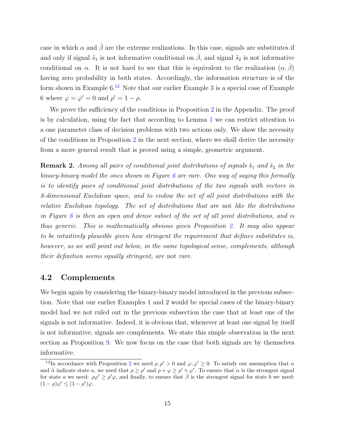case in which  $\alpha$  and  $\beta$  are the extreme realizations. In this case, signals are substitutes if and only if signal  $\tilde{s}_1$  is not informative conditional on  $\hat{\beta}$ , and signal  $\tilde{s}_2$  is not informative conditional on  $\alpha$ . It is not hard to see that this is equivalent to the realization  $(\alpha, \beta)$ having zero probability in both states. Accordingly, the information structure is of the form shown in Example  $6^{12}$  Note that our earlier Example 3 is a special case of Example 6 where  $\varphi = \varphi' = 0$  and  $\rho' = 1 - \rho$ .

We prove the sufficiency of the conditions in Proposition 2 in the Appendix. The proof is by calculation, using the fact that according to Lemma 1 we can restrict attention to a one parameter class of decision problems with two actions only. We show the necessity of the conditions in Proposition 2 in the next section, where we shall derive the necessity from a more general result that is proved using a simple, geometric argument.

**Remark 2.** Among all pairs of conditional joint distributions of signals  $\tilde{s}_1$  and  $\tilde{s}_2$  in the binary-binary model the ones shown in Figure  $6$  are rare. One way of saying this formally is to identify pairs of conditional joint distributions of the two signals with vectors in 8-dimensional Euclidean space, and to endow the set of all joint distributions with the relative Euclidean topology. The set of distributions that are not like the distributions in Figure 6 is then an open and dense subset of the set of all joint distributions, and is thus generic. This is mathematically obvious given Proposition 2. It may also appear to be intuitively plausible given how stringent the requirement that defines substitutes is, however, as we will point out below, in the same topological sense, complements, although their definition seems equally stringent, are not rare.

#### 4.2 Complements

We begin again by considering the binary-binary model introduced in the previous subsection. Note that our earlier Examples 1 and 2 would be special cases of the binary-binary model had we not ruled out in the previous subsection the case that at least one of the signals is not informative. Indeed, it is obvious that, whenever at least one signal by itself is not informative, signals are complements. We state this simple observation in the next section as Proposition 9. We now focus on the case that both signals are by themselves informative.

<sup>&</sup>lt;sup>12</sup>In accordance with Proposition 2 we need  $\rho, \rho' > 0$  and  $\varphi, \varphi' \geq 0$ . To satisfy our assumption that  $\alpha$ and  $\hat{\alpha}$  indicate state a, we need that  $\rho \geq \rho'$  and  $\rho + \varphi \geq \rho' + \varphi'$ . To ensure that  $\alpha$  is the strongest signal for state a we need:  $\rho \varphi' \geq \rho' \varphi$ , and finally, to ensure that  $\hat{\beta}$  is the strongest signal for state b we need:  $(1 - \rho)\varphi' \leq (1 - \rho')\varphi.$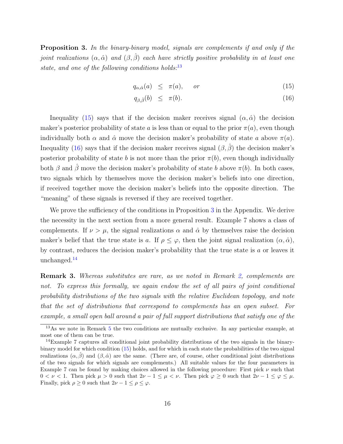Proposition 3. In the binary-binary model, signals are complements if and only if the joint realizations  $(\alpha, \hat{\alpha})$  and  $(\beta, \hat{\beta})$  each have strictly positive probability in at least one state, and one of the following conditions holds: $^{13}$ 

$$
q_{\alpha,\hat{\alpha}}(a) \leq \pi(a), \quad or \tag{15}
$$

$$
q_{\beta,\hat{\beta}}(b) \leq \pi(b). \tag{16}
$$

Inequality (15) says that if the decision maker receives signal  $(\alpha, \hat{\alpha})$  the decision maker's posterior probability of state a is less than or equal to the prior  $\pi(a)$ , even though individually both  $\alpha$  and  $\hat{\alpha}$  move the decision maker's probability of state a above  $\pi(a)$ . Inequality (16) says that if the decision maker receives signal  $(\beta, \hat{\beta})$  the decision maker's posterior probability of state b is not more than the prior  $\pi(b)$ , even though individually both  $\beta$  and  $\beta$  move the decision maker's probability of state b above  $\pi(b)$ . In both cases, two signals which by themselves move the decision maker's beliefs into one direction, if received together move the decision maker's beliefs into the opposite direction. The "meaning" of these signals is reversed if they are received together.

We prove the sufficiency of the conditions in Proposition 3 in the Appendix. We derive the necessity in the next section from a more general result. Example 7 shows a class of complements. If  $\nu > \mu$ , the signal realizations  $\alpha$  and  $\hat{\alpha}$  by themselves raise the decision maker's belief that the true state is a. If  $\rho \leq \varphi$ , then the joint signal realization  $(\alpha, \hat{\alpha})$ , by contrast, reduces the decision maker's probability that the true state is a or leaves it unchanged.<sup>14</sup>

Remark 3. Whereas substitutes are rare, as we noted in Remark 2, complements are not. To express this formally, we again endow the set of all pairs of joint conditional probability distributions of the two signals with the relative Euclidean topology, and note that the set of distributions that correspond to complements has an open subset. For example, a small open ball around a pair of full support distributions that satisfy one of the

<sup>13</sup>As we note in Remark 5 the two conditions are mutually exclusive. In any particular example, at most one of them can be true.

<sup>14</sup>Example 7 captures all conditional joint probability distributions of the two signals in the binarybinary model for which condition (15) holds, and for which in each state the probabilities of the two signal realizations  $(\alpha, \beta)$  and  $(\beta, \hat{\alpha})$  are the same. (There are, of course, other conditional joint distributions of the two signals for which signals are complements.) All suitable values for the four parameters in Example 7 can be found by making choices allowed in the following procedure: First pick  $\nu$  such that  $0 < \nu < 1$ . Then pick  $\mu > 0$  such that  $2\nu - 1 \leq \mu < \nu$ . Then pick  $\varphi \geq 0$  such that  $2\nu - 1 \leq \varphi \leq \mu$ . Finally, pick  $\rho \geq 0$  such that  $2\nu - 1 \leq \rho \leq \varphi$ .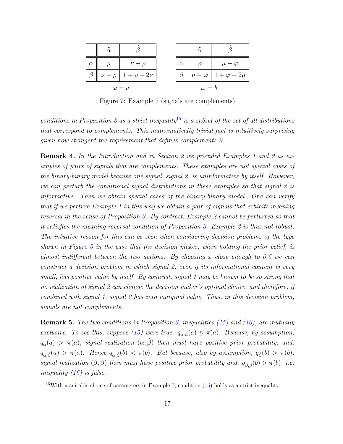|          | $\widehat{\alpha}$ |                 |          | $\widehat{\alpha}$ |                                       |
|----------|--------------------|-----------------|----------|--------------------|---------------------------------------|
| $\alpha$ |                    | $\prime - \rho$ | $\alpha$ |                    | $\mu-\varphi$                         |
|          | $\nu - \rho$       | $1+\rho-2\nu$   |          |                    | $-\varphi\left(1+\varphi-2\mu\right)$ |
|          |                    | $\omega = a$    |          | $\omega = b$       |                                       |

Figure 7: Example 7 (signals are complements)

conditions in Proposition 3 as a strict inequality<sup>15</sup> is a subset of the set of all distributions that correspond to complements. This mathematically trivial fact is intuitively surprising given how stringent the requirement that defines complements is.

Remark 4. In the Introduction and in Section 2 we provided Examples 1 and 2 as examples of pairs of signals that are complements. These examples are not special cases of the binary-binary model because one signal, signal 2, is uninformative by itself. However, we can perturb the conditional signal distributions in these examples so that signal 2 is informative. Then we obtain special cases of the binary-binary model. One can verify that if we perturb Example 1 in this way we obtain a pair of signals that exhibits meaning reversal in the sense of Proposition 3. By contrast, Example 2 cannot be perturbed so that it satisfies the meaning reversal condition of Proposition 3. Example 2 is thus not robust. The intuitive reason for this can be seen when considering decision problems of the type shown in Figure 5 in the case that the decision maker, when holding the prior belief, is almost indifferent between the two actions. By choosing x close enough to 0.5 we can construct a decision problem in which signal 2, even if its informational content is very small, has positive value by itself. By contrast, signal 1 may be known to be so strong that no realization of signal 2 can change the decision maker's optimal choice, and therefore, if combined with signal 1, signal 2 has zero marginal value. Thus, in this decision problem, signals are not complements.

**Remark 5.** The two conditions in Proposition 3, inequalities (15) and (16), are mutually exclusive. To see this, suppose (15) were true:  $q_{\alpha,\hat{\alpha}}(a) \leq \pi(a)$ . Because, by assumption,  $q_{\alpha}(a) > \pi(a)$ , signal realization  $(\alpha, \hat{\beta})$  then must have positive prior probability, and:  $q_{\alpha,\hat{\beta}}(a) > \pi(a)$ . Hence  $q_{\alpha,\hat{\beta}}(b) < \pi(b)$ . But because, also by assumption,  $q_{\hat{\beta}}(b) > \pi(b)$ , signal realization  $(\beta, \beta)$  then must have positive prior probability and:  $q_{\beta,\hat{\beta}}(b) > \pi(b)$ , i.e. inequality  $(16)$  is false.

<sup>15</sup>With a suitable choice of parameters in Example 7, condition (15) holds as a strict inequality.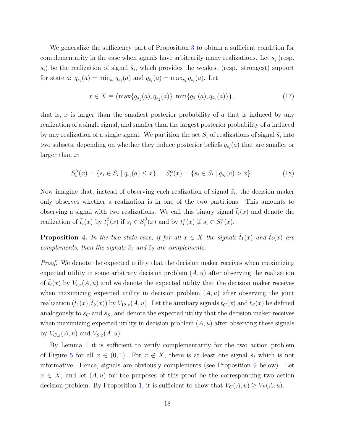We generalize the sufficiency part of Proposition 3 to obtain a sufficient condition for complementarity in the case when signals have arbitrarily many realizations. Let  $\underline{s}_i$  (resp.  $\bar{s}_i$ ) be the realization of signal  $\tilde{s}_i$ , which provides the weakest (resp. strongest) support for state a:  $q_{s_i}(a) = \min_{s_i} q_{s_i}(a)$  and  $q_{\bar{s}_i}(a) = \max_{s_i} q_{s_i}(a)$ . Let

$$
x \in X \equiv \left(\max\{q_{\underline{s}_1}(a), q_{\underline{s}_2}(a)\}, \min\{q_{\bar{s}_1}(a), q_{\bar{s}_2}(a)\}\right),\tag{17}
$$

that is, x is larger than the smallest posterior probability of  $\alpha$  that is induced by any realization of a single signal, and smaller than the largest posterior probability of a induced by any realization of a single signal. We partition the set  $S_i$  of realizations of signal  $\tilde{s}_i$  into two subsets, depending on whether they induce posterior beliefs  $q_{s_i}(a)$  that are smaller or larger than  $x$ :

$$
S_i^{\beta}(x) = \{ s_i \in S_i \mid q_{s_i}(a) \le x \}, \quad S_i^{\alpha}(x) = \{ s_i \in S_i \mid q_{s_i}(a) > x \}. \tag{18}
$$

Now imagine that, instead of observing each realization of signal  $\tilde{s}_i$ , the decision maker only observes whether a realization is in one of the two partitions. This amounts to observing a signal with two realizations. We call this binary signal  $\tilde{t}_i(x)$  and denote the realization of  $\tilde{t}_i(x)$  by  $t_i^{\beta}$  $\beta_i^{\beta}(x)$  if  $s_i \in S_i^{\beta}$  $i^{\beta}(x)$  and by  $t_i^{\alpha}(x)$  if  $s_i \in S_i^{\alpha}(x)$ .

**Proposition 4.** In the two state case, if for all  $x \in X$  the signals  $\tilde{t}_1(x)$  and  $\tilde{t}_2(x)$  are complements, then the signals  $\tilde{s}_1$  and  $\tilde{s}_2$  are complements.

*Proof.* We denote the expected utility that the decision maker receives when maximizing expected utility in some arbitrary decision problem  $(A, u)$  after observing the realization of  $\tilde{t}_i(x)$  by  $V_{i,x}(A, u)$  and we denote the expected utility that the decision maker receives when maximizing expected utility in decision problem  $(A, u)$  after observing the joint realization  $(\tilde{t}_1(x),\tilde{t}_2(x))$  by  $V_{12,x}(A, u)$ . Let the auxiliary signals  $\tilde{t}_C(x)$  and  $\tilde{t}_S(x)$  be defined analogously to  $\tilde{s}_C$  and  $\tilde{s}_S$ , and denote the expected utility that the decision maker receives when maximizing expected utility in decision problem  $(A, u)$  after observing these signals by  $V_{C,x}(A, u)$  and  $V_{S,x}(A, u)$ .

By Lemma 1 it is sufficient to verify complementarity for the two action problem of Figure 5 for all  $x \in (0,1)$ . For  $x \notin X$ , there is at least one signal  $\tilde{s}_i$  which is not informative. Hence, signals are obviously complements (see Proposition 9 below). Let  $x \in X$ , and let  $(A, u)$  for the purposes of this proof be the corresponding two action decision problem. By Proposition 1, it is sufficient to show that  $V_C(A, u) \ge V_S(A, u)$ .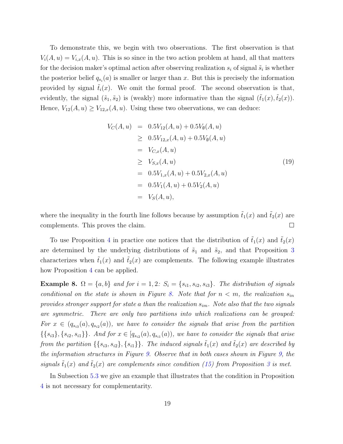To demonstrate this, we begin with two observations. The first observation is that  $V_i(A, u) = V_{i,x}(A, u)$ . This is so since in the two action problem at hand, all that matters for the decision maker's optimal action after observing realization  $s_i$  of signal  $\tilde{s}_i$  is whether the posterior belief  $q_{s_i}(a)$  is smaller or larger than x. But this is precisely the information provided by signal  $\tilde{t}_i(x)$ . We omit the formal proof. The second observation is that, evidently, the signal  $(\tilde{s}_1, \tilde{s}_2)$  is (weakly) more informative than the signal  $(\tilde{t}_1(x), \tilde{t}_2(x))$ . Hence,  $V_{12}(A, u) \ge V_{12,x}(A, u)$ . Using these two observations, we can deduce:

$$
V_C(A, u) = 0.5V_{12}(A, u) + 0.5V_{\emptyset}(A, u)
$$
  
\n
$$
\geq 0.5V_{12,x}(A, u) + 0.5V_{\emptyset}(A, u)
$$
  
\n
$$
= V_{C,x}(A, u)
$$
  
\n
$$
\geq V_{S,x}(A, u)
$$
  
\n
$$
= 0.5V_{1,x}(A, u) + 0.5V_{2,x}(A, u)
$$
  
\n
$$
= 0.5V_1(A, u) + 0.5V_2(A, u)
$$
  
\n
$$
= V_S(A, u),
$$
  
\n(19)

where the inequality in the fourth line follows because by assumption  $\tilde{t}_1(x)$  and  $\tilde{t}_2(x)$  are complements. This proves the claim.  $\Box$ 

To use Proposition 4 in practice one notices that the distribution of  $\tilde{t}_1(x)$  and  $\tilde{t}_2(x)$ are determined by the underlying distributions of  $\tilde{s}_1$  and  $\tilde{s}_2$ , and that Proposition 3 characterizes when  $\tilde{t}_1(x)$  and  $\tilde{t}_2(x)$  are complements. The following example illustrates how Proposition 4 can be applied.

Example 8.  $\Omega = \{a, b\}$  and for  $i = 1, 2$ :  $S_i = \{s_{i1}, s_{i2}, s_{i3}\}$ . The distribution of signals conditional on the state is shown in Figure 8. Note that for  $n < m$ , the realization  $s_{in}$ provides stronger support for state a than the realization  $s_{im}$ . Note also that the two signals are symmetric. There are only two partitions into which realizations can be grouped: For  $x \in (q_{s_{i3}}(a), q_{s_{i2}}(a))$ , we have to consider the signals that arise from the partition  $\{\{s_{i3}\},\{s_{i2},s_{i1}\}\}\.$  And for  $x \in [q_{s_{i2}}(a),q_{s_{i1}}(a))$ , we have to consider the signals that arise from the partition  $\{\{s_{i3}, s_{i2}\}, \{s_{i1}\}\}\.$  The induced signals  $\tilde{t}_1(x)$  and  $\tilde{t}_2(x)$  are described by the information structures in Figure 9. Observe that in both cases shown in Figure 9, the signals  $\tilde{t}_1(x)$  and  $\tilde{t}_2(x)$  are complements since condition (15) from Proposition 3 is met.

In Subsection 5.3 we give an example that illustrates that the condition in Proposition 4 is not necessary for complementarity.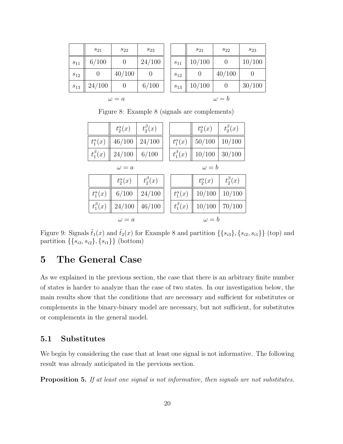|                 | $s_{21}$         | $S_{22}$         | $s_{23}$ |
|-----------------|------------------|------------------|----------|
| $s_{11}$        | 6/100            | $\left( \right)$ | 24/100   |
| $s_{12}$        | $\left( \right)$ | 40/100           | 0        |
| $\sqrt{s_{13}}$ | 24/100           | 0                | 6/100    |
|                 |                  |                  |          |

| $S_{22}$   | $s_{23}$ |                 | $s_{21}$ | $s_{22}$     | $S_{23}$ |
|------------|----------|-----------------|----------|--------------|----------|
|            | 24/100   | $s_{11}$        | 10/100   |              | 10/100   |
| 40/100     |          | $s_{12}$        |          | 40/100       |          |
|            | 6/100    | $\sqrt{s_{13}}$ | 10/100   |              | 30/100   |
| $\omega=a$ |          |                 |          | $\omega = b$ |          |

Figure 8: Example 8 (signals are complements)

|                   | $t_2^{\alpha}(x)$ | $t_2^{\beta}(x)$ |                   | $t_2^{\alpha}(x)$ | $t_2^{\beta}(x)$ |
|-------------------|-------------------|------------------|-------------------|-------------------|------------------|
| $t_1^{\alpha}(x)$ | 46/100            | 24/100           | $t_1^{\alpha}(x)$ | 50/100            | 10/100           |
| $t_1^{\beta}(x)$  | 24/100            | 6/100            | $t_1^{\beta}(x)$  | 10/100            | 30/100           |
|                   | $\omega = a$      |                  |                   | $\omega = b$      |                  |
|                   | $t_2^{\alpha}(x)$ | $t_2^{\beta}(x)$ |                   | $t_2^{\alpha}(x)$ | $t_2^{\beta}(x)$ |
| $t_1^{\alpha}(x)$ | 6/100             | 24/100           | $t_1^{\alpha}(x)$ | 10/100            | 10/100           |
| $t_1^{\beta}(x)$  | 24/100            | 46/100           | $t_1^{\beta}(x)$  | 10/100            | 70/100           |
|                   | $\omega = a$      |                  |                   | $\omega = b$      |                  |

Figure 9: Signals  $\tilde{t}_1(x)$  and  $\tilde{t}_2(x)$  for Example 8 and partition  $\{\{s_{i3}\}, \{s_{i2}, s_{i1}\}\}\$  (top) and partition  $\{\{s_{i3}, s_{i2}\}, \{s_{i1}\}\}\$  (bottom)

# 5 The General Case

As we explained in the previous section, the case that there is an arbitrary finite number of states is harder to analyze than the case of two states. In our investigation below, the main results show that the conditions that are necessary and sufficient for substitutes or complements in the binary-binary model are necessary, but not sufficient, for substitutes or complements in the general model.

#### 5.1 Substitutes

We begin by considering the case that at least one signal is not informative. The following result was already anticipated in the previous section.

Proposition 5. If at least one signal is not informative, then signals are not substitutes.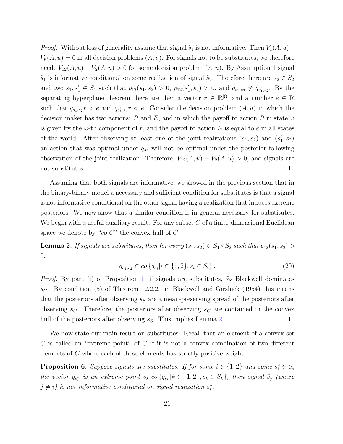*Proof.* Without loss of generality assume that signal  $\tilde{s}_1$  is not informative. Then  $V_1(A, u)$ −  $V_{\emptyset}(A, u) = 0$  in all decision problems  $(A, u)$ . For signals not to be substitutes, we therefore need:  $V_{12}(A, u) - V_2(A, u) > 0$  for some decision problem  $(A, u)$ . By Assumption 1 signal  $\tilde{s}_1$  is informative conditional on some realization of signal  $\tilde{s}_2$ . Therefore there are  $s_2 \in S_2$ and two  $s_1, s'_1 \in S_1$  such that  $\bar{p}_{12}(s_1, s_2) > 0$ ,  $\bar{p}_{12}(s'_1, s_2) > 0$ , and  $q_{s_1, s_2} \neq q_{s'_1, s_2}$ . By the separating hyperplane theorem there are then a vector  $r \in \mathbb{R}^{|\Omega|}$  and a number  $e \in \mathbb{R}$ such that  $q_{s_1,s_2}r > e$  and  $q_{s'_1,s_2}r < e$ . Consider the decision problem  $(A, u)$  in which the decision maker has two actions: R and E, and in which the payoff to action R in state  $\omega$ is given by the  $\omega$ -th component of r, and the payoff to action E is equal to e in all states of the world. After observing at least one of the joint realizations  $(s_1, s_2)$  and  $(s'_1, s_2)$ an action that was optimal under  $q_{s_2}$  will not be optimal under the posterior following observation of the joint realization. Therefore,  $V_{12}(A, u) - V_2(A, u) > 0$ , and signals are  $\Box$ not substitutes.

Assuming that both signals are informative, we showed in the previous section that in the binary-binary model a necessary and sufficient condition for substitutes is that a signal is not informative conditional on the other signal having a realization that induces extreme posteriors. We now show that a similar condition is in general necessary for substitutes. We begin with a useful auxiliary result. For any subset  $C$  of a finite-dimensional Euclidean space we denote by " $co C$ " the convex hull of  $C$ .

**Lemma 2.** If signals are substitutes, then for every  $(s_1, s_2) \in S_1 \times S_2$  such that  $\bar{p}_{12}(s_1, s_2)$ 0:

$$
q_{s_1, s_2} \in co \{q_{s_i} | i \in \{1, 2\}, s_i \in S_i \}.
$$
\n
$$
(20)
$$

*Proof.* By part (i) of Proposition 1, if signals are substitutes,  $\tilde{s}_S$  Blackwell dominates  $\tilde{s}_C$ . By condition (5) of Theorem 12.2.2. in Blackwell and Girshick (1954) this means that the posteriors after observing  $\tilde{s}_S$  are a mean-preserving spread of the posteriors after observing  $\tilde{s}_C$ . Therefore, the posteriors after observing  $\tilde{s}_C$  are contained in the convex hull of the posteriors after observing  $\tilde{s}_S$ . This implies Lemma 2.  $\Box$ 

We now state our main result on substitutes. Recall that an element of a convex set C is called an "extreme point" of C if it is not a convex combination of two different elements of C where each of these elements has strictly positive weight.

**Proposition 6.** Suppose signals are substitutes. If for some  $i \in \{1,2\}$  and some  $s_i^* \in S_i$ the vector  $q_{s_i^*}$  is an extreme point of  $\omega$   $\{q_{s_k}|k \in \{1,2\}, s_k \in S_k\}$ , then signal  $\tilde{s}_j$  (where  $j \neq i$ ) is not informative conditional on signal realization  $s_i^*$ .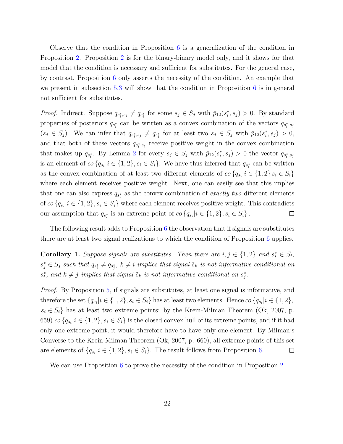Observe that the condition in Proposition 6 is a generalization of the condition in Proposition 2. Proposition 2 is for the binary-binary model only, and it shows for that model that the condition is necessary and sufficient for substitutes. For the general case, by contrast, Proposition 6 only asserts the necessity of the condition. An example that we present in subsection 5.3 will show that the condition in Proposition  $6$  is in general not sufficient for substitutes.

*Proof.* Indirect. Suppose  $q_{s_i^*,s_j} \neq q_{s_i^*}$  for some  $s_j \in S_j$  with  $\bar{p}_{12}(s_i^*,s_j) > 0$ . By standard properties of posteriors  $q_{s_i^*}$  can be written as a convex combination of the vectors  $q_{s_i^*,s_j}$  $(s_j \in S_j)$ . We can infer that  $q_{s_i^*,s_j} \neq q_{s_i^*}$  for at least two  $s_j \in S_j$  with  $\bar{p}_{12}(s_i^*,s_j) > 0$ , and that both of these vectors  $q_{s_i^*,s_j}$  receive positive weight in the convex combination that makes up  $q_{s_i^*}$ . By Lemma 2 for every  $s_j \in S_j$  with  $\bar{p}_{12}(s_i^*, s_j) > 0$  the vector  $q_{s_i^*, s_j}$ is an element of  $\omega \{q_{s_i} | i \in \{1,2\}, s_i \in S_i\}$ . We have thus inferred that  $q_{s_i^*}$  can be written as the convex combination of at least two different elements of  $\alpha \{q_{s_i} | i \in \{1,2\} \ s_i \in S_i\}$ where each element receives positive weight. Next, one can easily see that this implies that one can also express  $q_{s_i^*}$  as the convex combination of *exactly two* different elements of  $co \{q_{s_i} | i \in \{1,2\}, s_i \in S_i\}$  where each element receives positive weight. This contradicts our assumption that  $q_{s_i^*}$  is an extreme point of  $\omega \{q_{s_i} | i \in \{1,2\}, s_i \in S_i\}$ .  $\Box$ 

The following result adds to Proposition  $6$  the observation that if signals are substitutes there are at least two signal realizations to which the condition of Proposition 6 applies.

**Corollary 1.** Suppose signals are substitutes. Then there are  $i, j \in \{1, 2\}$  and  $s_i^* \in S_i$ ,  $s_j^* \in S_j$  such that  $q_{s_i^*} \neq q_{s_j^*}$ ,  $k \neq i$  implies that signal  $\tilde{s}_k$  is not informative conditional on  $s_i^*$ , and  $k \neq j$  implies that signal  $\tilde{s}_k$  is not informative conditional on  $s_j^*$ .

Proof. By Proposition 5, if signals are substitutes, at least one signal is informative, and therefore the set  $\{q_{s_i}|i \in \{1,2\}, s_i \in S_i\}$  has at least two elements. Hence  $co \{q_{s_i}|i \in \{1,2\},\}$  $s_i \in S_i$  has at least two extreme points: by the Krein-Milman Theorem (Ok, 2007, p. 659)  $\cos\left\{q_{s_i}|i\in\{1,2\}, s_i\in S_i\right\}$  is the closed convex hull of its extreme points, and if it had only one extreme point, it would therefore have to have only one element. By Milman's Converse to the Krein-Milman Theorem (Ok, 2007, p. 660), all extreme points of this set are elements of  $\{q_{s_i}|i \in \{1,2\}, s_i \in S_i\}$ . The result follows from Proposition 6.  $\Box$ 

We can use Proposition 6 to prove the necessity of the condition in Proposition 2.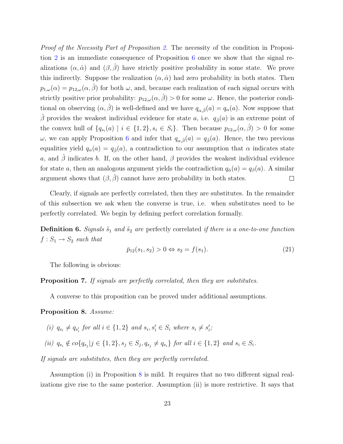Proof of the Necessity Part of Proposition 2. The necessity of the condition in Proposition 2 is an immediate consequence of Proposition 6 once we show that the signal realizations  $(\alpha, \hat{\alpha})$  and  $(\beta, \hat{\beta})$  have strictly positive probability in some state. We prove this indirectly. Suppose the realization  $(\alpha, \hat{\alpha})$  had zero probability in both states. Then  $p_{1,\omega}(\alpha) = p_{12,\omega}(\alpha, \hat{\beta})$  for both  $\omega$ , and, because each realization of each signal occurs with strictly positive prior probability:  $p_{12,\omega}(\alpha, \hat{\beta}) > 0$  for some  $\omega$ . Hence, the posterior conditional on observing  $(\alpha, \hat{\beta})$  is well-defined and we have  $q_{\alpha,\hat{\beta}}(a) = q_{\alpha}(a)$ . Now suppose that  $\hat{\beta}$  provides the weakest individual evidence for state a, i.e.  $q_{\hat{\beta}}(a)$  is an extreme point of the convex hull of  $\{q_{s_i}(a) \mid i \in \{1,2\}, s_i \in S_i\}$ . Then because  $p_{12,\omega}(\alpha, \hat{\beta}) > 0$  for some ω, we can apply Proposition 6 and infer that  $q_{\alpha,\hat{\beta}}(a) = q_{\hat{\beta}}(a)$ . Hence, the two previous equalities yield  $q_{\alpha}(a) = q_{\hat{\beta}}(a)$ , a contradiction to our assumption that  $\alpha$  indicates state a, and  $\hat{\beta}$  indicates b. If, on the other hand,  $\beta$  provides the weakest individual evidence for state a, then an analogous argument yields the contradiction  $q_{\hat{\alpha}}(a) = q_{\beta}(a)$ . A similar argument shows that  $(\beta, \beta)$  cannot have zero probability in both states.  $\Box$ 

Clearly, if signals are perfectly correlated, then they are substitutes. In the remainder of this subsection we ask when the converse is true, i.e. when substitutes need to be perfectly correlated. We begin by defining perfect correlation formally.

**Definition 6.** Signals  $\tilde{s}_1$  and  $\tilde{s}_2$  are perfectly correlated if there is a one-to-one function  $f: S_1 \rightarrow S_2$  such that

$$
\bar{p}_{12}(s_1, s_2) > 0 \Leftrightarrow s_2 = f(s_1). \tag{21}
$$

The following is obvious:

#### Proposition 7. If signals are perfectly correlated, then they are substitutes.

A converse to this proposition can be proved under additional assumptions.

#### Proposition 8. Assume:

- (i)  $q_{s_i} \neq q_{s'_i}$  for all  $i \in \{1,2\}$  and  $s_i, s'_i \in S_i$  where  $s_i \neq s'_i$ ;
- (ii)  $q_{s_i} \notin co\{q_{s_j} | j \in \{1,2\}, s_j \in S_j, q_{s_j} \neq q_{s_i}\}$  for all  $i \in \{1,2\}$  and  $s_i \in S_i$ .

If signals are substitutes, then they are perfectly correlated.

Assumption (i) in Proposition 8 is mild. It requires that no two different signal realizations give rise to the same posterior. Assumption (ii) is more restrictive. It says that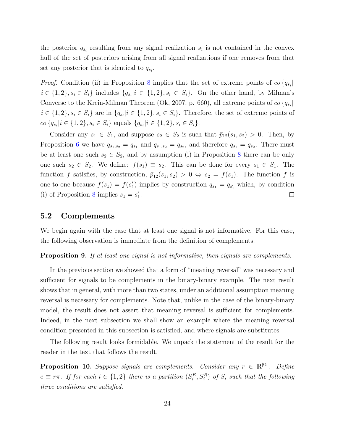the posterior  $q_{s_i}$  resulting from any signal realization  $s_i$  is not contained in the convex hull of the set of posteriors arising from all signal realizations if one removes from that set any posterior that is identical to  $q_{s_i}$ .

*Proof.* Condition (ii) in Proposition 8 implies that the set of extreme points of  $\omega$  { $q_{s_i}$ }  $i \in \{1,2\}, s_i \in S_i\}$  includes  $\{q_{s_i}|i \in \{1,2\}, s_i \in S_i\}$ . On the other hand, by Milman's Converse to the Krein-Milman Theorem (Ok, 2007, p. 660), all extreme points of  $\cos \{q_{s_i}\}\$  $i \in \{1,2\}, s_i \in S_i\}$  are in  $\{q_{s_i}|i \in \{1,2\}, s_i \in S_i\}$ . Therefore, the set of extreme points of  $co\{q_{s_i}|i \in \{1,2\}, s_i \in S_i\}$  equals  $\{q_{s_i}|i \in \{1,2\}, s_i \in S_i\}.$ 

Consider any  $s_1 \in S_1$ , and suppose  $s_2 \in S_2$  is such that  $\bar{p}_{12}(s_1, s_2) > 0$ . Then, by Proposition 6 we have  $q_{s_1,s_2} = q_{s_1}$  and  $q_{s_1,s_2} = q_{s_2}$ , and therefore  $q_{s_1} = q_{s_2}$ . There must be at least one such  $s_2 \in S_2$ , and by assumption (i) in Proposition 8 there can be only one such  $s_2 \in S_2$ . We define:  $f(s_1) \equiv s_2$ . This can be done for every  $s_1 \in S_1$ . The function f satisfies, by construction,  $\bar{p}_{12}(s_1, s_2) > 0 \Leftrightarrow s_2 = f(s_1)$ . The function f is one-to-one because  $f(s_1) = f(s_1')$  implies by construction  $q_{s_1} = q_{s_1'}$  which, by condition (i) of Proposition 8 implies  $s_1 = s'_1$ .  $\Box$ 

#### 5.2 Complements

We begin again with the case that at least one signal is not informative. For this case, the following observation is immediate from the definition of complements.

Proposition 9. If at least one signal is not informative, then signals are complements.

In the previous section we showed that a form of "meaning reversal" was necessary and sufficient for signals to be complements in the binary-binary example. The next result shows that in general, with more than two states, under an additional assumption meaning reversal is necessary for complements. Note that, unlike in the case of the binary-binary model, the result does not assert that meaning reversal is sufficient for complements. Indeed, in the next subsection we shall show an example where the meaning reversal condition presented in this subsection is satisfied, and where signals are substitutes.

The following result looks formidable. We unpack the statement of the result for the reader in the text that follows the result.

**Proposition 10.** Suppose signals are complements. Consider any  $r \in \mathbb{R}^{|\Omega|}$ . Define  $e \equiv r\pi$ . If for each  $i \in \{1,2\}$  there is a partition  $(S_i^E, S_i^R)$  of  $S_i$  such that the following three conditions are satisfied: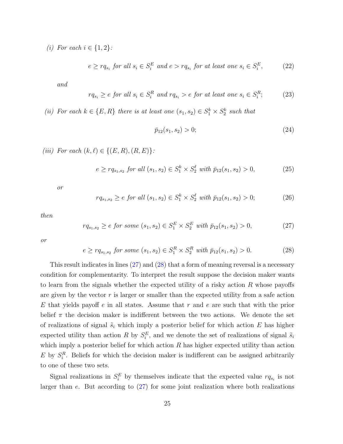(i) For each  $i \in \{1,2\}$ :

$$
e \ge r q_{s_i} \text{ for all } s_i \in S_i^E \text{ and } e > r q_{s_i} \text{ for at least one } s_i \in S_i^E,
$$
 (22)

and

$$
rq_{s_i} \ge e \text{ for all } s_i \in S_i^R \text{ and } rq_{s_i} > e \text{ for at least one } s_i \in S_i^R; \tag{23}
$$

(ii) For each  $k \in \{E, R\}$  there is at least one  $(s_1, s_2) \in S_1^k \times S_2^k$  such that

$$
\bar{p}_{12}(s_1, s_2) > 0; \tag{24}
$$

(iii) For each  $(k, \ell) \in \{(E, R), (R, E)\}$ :

$$
e \ge r q_{s_1, s_2} \text{ for all } (s_1, s_2) \in S_1^k \times S_2^\ell \text{ with } \bar{p}_{12}(s_1, s_2) > 0,
$$
 (25)

or

$$
rq_{s_1,s_2} \ge e \text{ for all } (s_1, s_2) \in S_1^k \times S_2^\ell \text{ with } \bar{p}_{12}(s_1, s_2) > 0; \tag{26}
$$

then

$$
rq_{s_1,s_2} \ge e \text{ for some } (s_1, s_2) \in S_1^E \times S_2^E \text{ with } \bar{p}_{12}(s_1, s_2) > 0,
$$
 (27)

or

$$
e \ge r q_{s_1, s_2} \text{ for some } (s_1, s_2) \in S_1^R \times S_2^R \text{ with } \bar{p}_{12}(s_1, s_2) > 0. \tag{28}
$$

This result indicates in lines (27) and (28) that a form of meaning reversal is a necessary condition for complementarity. To interpret the result suppose the decision maker wants to learn from the signals whether the expected utility of a risky action  $R$  whose payoffs are given by the vector  $r$  is larger or smaller than the expected utility from a safe action  $E$  that yields payoff  $e$  in all states. Assume that  $r$  and  $e$  are such that with the prior belief  $\pi$  the decision maker is indifferent between the two actions. We denote the set of realizations of signal  $\tilde{s}_i$  which imply a posterior belief for which action E has higher expected utility than action R by  $S_i^E$ , and we denote the set of realizations of signal  $\tilde{s}_i$ which imply a posterior belief for which action  $R$  has higher expected utility than action  $E$  by  $S_i^R$ . Beliefs for which the decision maker is indifferent can be assigned arbitrarily to one of these two sets.

Signal realizations in  $S_i^E$  by themselves indicate that the expected value  $rq_{s_i}$  is not larger than  $e$ . But according to  $(27)$  for some joint realization where both realizations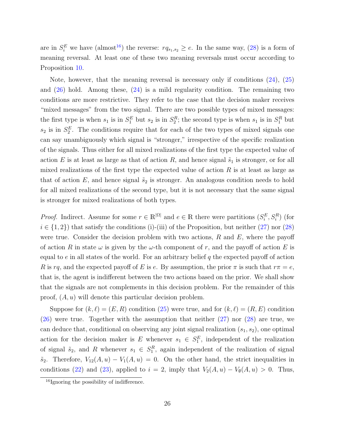are in  $S_i^E$  we have (almost<sup>16</sup>) the reverse:  $rq_{s_1,s_2} \geq e$ . In the same way, (28) is a form of meaning reversal. At least one of these two meaning reversals must occur according to Proposition 10.

Note, however, that the meaning reversal is necessary only if conditions (24), (25) and  $(26)$  hold. Among these,  $(24)$  is a mild regularity condition. The remaining two conditions are more restrictive. They refer to the case that the decision maker receives "mixed messages" from the two signal. There are two possible types of mixed messages: the first type is when  $s_1$  is in  $S_1^E$  but  $s_2$  is in  $S_2^R$ ; the second type is when  $s_1$  is in  $S_1^R$  but  $s_2$  is in  $S_2^E$ . The conditions require that for each of the two types of mixed signals one can say unambiguously which signal is "stronger," irrespective of the specific realization of the signals. Thus either for all mixed realizations of the first type the expected value of action E is at least as large as that of action R, and hence signal  $\tilde{s}_1$  is stronger, or for all mixed realizations of the first type the expected value of action  $R$  is at least as large as that of action E, and hence signal  $\tilde{s}_2$  is stronger. An analogous condition needs to hold for all mixed realizations of the second type, but it is not necessary that the same signal is stronger for mixed realizations of both types.

*Proof.* Indirect. Assume for some  $r \in \mathbb{R}^{|\Omega|}$  and  $e \in \mathbb{R}$  there were partitions  $(S_i^E, S_i^R)$  (for  $i \in \{1,2\}$  that satisfy the conditions (i)-(iii) of the Proposition, but neither (27) nor (28) were true. Consider the decision problem with two actions,  $R$  and  $E$ , where the payoff of action R in state  $\omega$  is given by the  $\omega$ -th component of r, and the payoff of action E is equal to  $e$  in all states of the world. For an arbitrary belief  $q$  the expected payoff of action R is rq, and the expected payoff of E is e. By assumption, the prior  $\pi$  is such that  $r\pi = e$ , that is, the agent is indifferent between the two actions based on the prior. We shall show that the signals are not complements in this decision problem. For the remainder of this proof,  $(A, u)$  will denote this particular decision problem.

Suppose for  $(k, \ell) = (E, R)$  condition  $(25)$  were true, and for  $(k, \ell) = (R, E)$  condition (26) were true. Together with the assumption that neither (27) nor (28) are true, we can deduce that, conditional on observing any joint signal realization  $(s_1, s_2)$ , one optimal action for the decision maker is E whenever  $s_1 \in S_1^E$ , independent of the realization of signal  $\tilde{s}_2$ , and R whenever  $s_1 \in S_1^R$ , again independent of the realization of signal  $\tilde{s}_2$ . Therefore,  $V_{12}(A, u) - V_1(A, u) = 0$ . On the other hand, the strict inequalities in conditions (22) and (23), applied to  $i = 2$ , imply that  $V_2(A, u) - V_0(A, u) > 0$ . Thus,

<sup>16</sup>Ignoring the possibility of indifference.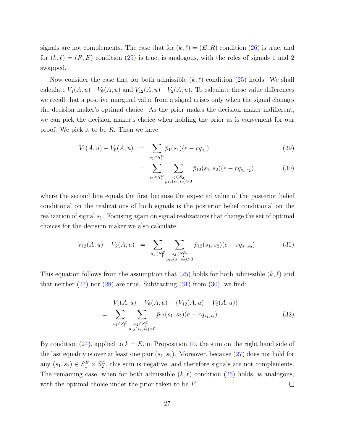signals are not complements. The case that for  $(k, \ell) = (E, R)$  condition (26) is true, and for  $(k, \ell) = (R, E)$  condition (25) is true, is analogous, with the roles of signals 1 and 2 swapped.

Now consider the case that for both admissible  $(k, \ell)$  condition  $(25)$  holds. We shall calculate  $V_1(A, u) - V_{\emptyset}(A, u)$  and  $V_{12}(A, u) - V_2(A, u)$ . To calculate these value differences we recall that a positive marginal value from a signal arises only when the signal changes the decision maker's optimal choice. As the prior makes the decision maker indifferent, we can pick the decision maker's choice when holding the prior as is convenient for our proof. We pick it to be R. Then we have:

$$
V_1(A, u) - V_\emptyset(A, u) = \sum_{s_1 \in S_1^E} \bar{p}_1(s_1)(e - r q_{s_1})
$$
\n(29)

$$
= \sum_{s_1 \in S_1^E} \sum_{\substack{s_2 \in S_2:\\ \bar{p}_{12}(s_1, s_2) > 0}} \bar{p}_{12}(s_1, s_2)(e - rq_{s_1, s_2}), \tag{30}
$$

where the second line equals the first because the expected value of the posterior belief conditional on the realizations of both signals is the posterior belief conditional on the realization of signal  $\tilde{s}_1$ . Focusing again on signal realizations that change the set of optimal choices for the decision maker we also calculate:

$$
V_{12}(A, u) - V_2(A, u) = \sum_{s_1 \in S_1^E} \sum_{\substack{s_2 \in S_2^R:\\ \bar{p}_{12}(s_1, s_2) > 0}} \bar{p}_{12}(s_1, s_2) (e - r q_{s_1, s_2}).
$$
 (31)

This equation follows from the assumption that  $(25)$  holds for both admissible  $(k, \ell)$  and that neither  $(27)$  nor  $(28)$  are true. Subtracting  $(31)$  from  $(30)$ , we find:

$$
V_1(A, u) - V_{\emptyset}(A, u) - (V_{12}(A, u) - V_2(A, u))
$$
  
= 
$$
\sum_{s_1 \in S_1^E} \sum_{\substack{s_2 \in S_2^E:\\ \bar{p}_{12}(s_1, s_2) > 0}} \bar{p}_{12}(s_1, s_2) (e - r q_{s_1, s_2}).
$$
 (32)

By condition  $(24)$ , applied to  $k = E$ , in Proposition 10, the sum on the right hand side of the last equality is over at least one pair  $(s_1, s_2)$ . Moreover, because (27) does not hold for any  $(s_1, s_2) \in S_1^E \times S_2^E$ , this sum is negative, and therefore signals are not complements. The remaining case, when for both admissible  $(k, \ell)$  condition (26) holds, is analogous, with the optimal choice under the prior taken to be E.  $\Box$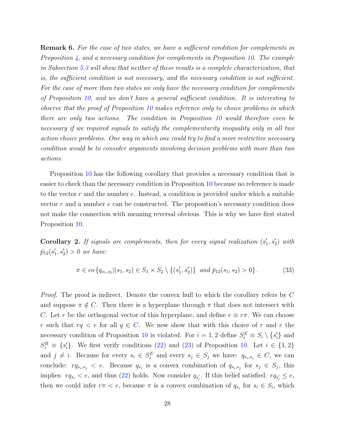**Remark 6.** For the case of two states, we have a sufficient condition for complements in Proposition  $\downarrow$ , and a necessary condition for complements in Proposition 10. The example in Subsection 5.3 will show that neither of these results is a complete characterization, that is, the sufficient condition is not necessary, and the necessary condition is not sufficient. For the case of more than two states we only have the necessary condition for complements of Proposition 10, and we don't have a general sufficient condition. It is interesting to observe that the proof of Proposition 10 makes reference only to choice problems in which there are only two actions. The condition in Proposition 10 would therefore even be necessary if we required signals to satisfy the complementarity inequality only in all two action choice problems. One way in which one could try to find a more restrictive necessary condition would be to consider arguments involving decision problems with more than two actions.

Proposition 10 has the following corollary that provides a necessary condition that is easier to check than the necessary condition in Proposition 10 because no reference is made to the vector  $r$  and the number  $e$ . Instead, a condition is provided under which a suitable vector  $r$  and a number  $e$  can be constructed. The proposition's necessary condition does not make the connection with meaning reversal obvious. This is why we have first stated Proposition 10.

**Corollary 2.** If signals are complements, then for every signal realization  $(s'_1, s'_2)$  with  $\bar{p}_{12}(s'_1, s'_2) > 0$  we have:

$$
\pi \in co \{q_{s_1,s_2} | (s_1,s_2) \in S_1 \times S_2 \setminus \{ (s'_1,s'_2) \} \text{ and } \bar{p}_{12}(s_1,s_2) > 0 \}.
$$
 (33)

Proof. The proof is indirect. Denote the convex hull to which the corollary refers by C and suppose  $\pi \notin C$ . Then there is a hyperplane through  $\pi$  that does not intersect with C. Let r be the orthogonal vector of this hyperplane, and define  $e \equiv r\pi$ . We can choose r such that  $rq < e$  for all  $q \in C$ . We now show that with this choice of r and e the necessary condition of Proposition 10 is violated. For  $i = 1, 2$  define  $S_i^E \equiv S_i \setminus \{s_i'\}$  and  $S_i^R \equiv \{s_i'\}.$  We first verify conditions (22) and (23) of Proposition 10. Let  $i \in \{1,2\}$ and  $j \neq i$ . Because for every  $s_i \in S_i^E$  and every  $s_j \in S_j$  we have:  $q_{s_i,s_j} \in C$ , we can conclude:  $rq_{s_i,s_j} < e$ . Because  $q_{s_i}$  is a convex combination of  $q_{s_i,s_j}$  for  $s_j \in S_j$ , this implies:  $rq_{s_i} < e$ , and thus (22) holds. Now consider  $q_{s_i'}$ . If this belief satisfied:  $rq_{s_i'} \leq e$ , then we could infer  $r\pi < e$ , because  $\pi$  is a convex combination of  $q_{s_i}$  for  $s_i \in S_i$ , which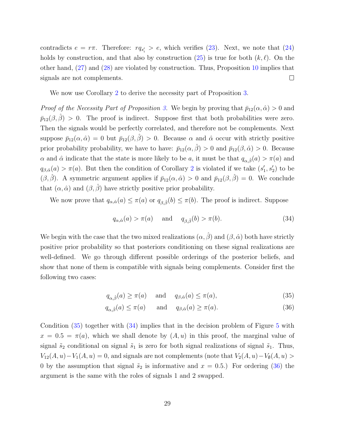contradicts  $e = r\pi$ . Therefore:  $rq_{s_i'} > e$ , which verifies (23). Next, we note that (24) holds by construction, and that also by construction  $(25)$  is true for both  $(k, \ell)$ . On the other hand, (27) and (28) are violated by construction. Thus, Proposition 10 implies that signals are not complements.  $\Box$ 

We now use Corollary 2 to derive the necessity part of Proposition 3.

*Proof of the Necessity Part of Proposition 3.* We begin by proving that  $\bar{p}_{12}(\alpha, \hat{\alpha}) > 0$  and  $\bar{p}_{12}(\beta, \beta) > 0$ . The proof is indirect. Suppose first that both probabilities were zero. Then the signals would be perfectly correlated, and therefore not be complements. Next suppose  $\bar{p}_{12}(\alpha, \hat{\alpha}) = 0$  but  $\bar{p}_{12}(\beta, \hat{\beta}) > 0$ . Because  $\alpha$  and  $\hat{\alpha}$  occur with strictly positive prior probability probability, we have to have:  $\bar{p}_{12}(\alpha, \hat{\beta}) > 0$  and  $\bar{p}_{12}(\beta, \hat{\alpha}) > 0$ . Because  $\alpha$  and  $\hat{\alpha}$  indicate that the state is more likely to be a, it must be that  $q_{\alpha,\hat{\beta}}(a) > \pi(a)$  and  $q_{\beta,\hat{\alpha}}(a) > \pi(a)$ . But then the condition of Corollary 2 is violated if we take  $(s'_1, s'_2)$  to be  $(\beta, \hat{\beta})$ . A symmetric argument applies if  $\bar{p}_{12}(\alpha, \hat{\alpha}) > 0$  and  $\bar{p}_{12}(\beta, \hat{\beta}) = 0$ . We conclude that  $(\alpha, \hat{\alpha})$  and  $(\beta, \hat{\beta})$  have strictly positive prior probability.

We now prove that  $q_{\alpha,\hat{\alpha}}(a) \leq \pi(a)$  or  $q_{\beta,\hat{\beta}}(b) \leq \pi(b)$ . The proof is indirect. Suppose

$$
q_{\alpha,\hat{\alpha}}(a) > \pi(a) \quad \text{and} \quad q_{\beta,\hat{\beta}}(b) > \pi(b). \tag{34}
$$

We begin with the case that the two mixed realizations  $(\alpha, \hat{\beta})$  and  $(\beta, \hat{\alpha})$  both have strictly positive prior probability so that posteriors conditioning on these signal realizations are well-defined. We go through different possible orderings of the posterior beliefs, and show that none of them is compatible with signals being complements. Consider first the following two cases:

$$
q_{\alpha,\hat{\beta}}(a) \ge \pi(a) \quad \text{and} \quad q_{\beta,\hat{\alpha}}(a) \le \pi(a), \tag{35}
$$

$$
q_{\alpha,\hat{\beta}}(a) \le \pi(a) \quad \text{and} \quad q_{\beta,\hat{\alpha}}(a) \ge \pi(a). \tag{36}
$$

Condition (35) together with (34) implies that in the decision problem of Figure 5 with  $x = 0.5 = \pi(a)$ , which we shall denote by  $(A, u)$  in this proof, the marginal value of signal  $\tilde{s}_2$  conditional on signal  $\tilde{s}_1$  is zero for both signal realizations of signal  $\tilde{s}_1$ . Thus,  $V_{12}(A, u) - V_1(A, u) = 0$ , and signals are not complements (note that  $V_2(A, u) - V_0(A, u) >$ 0 by the assumption that signal  $\tilde{s}_2$  is informative and  $x = 0.5$ .) For ordering (36) the argument is the same with the roles of signals 1 and 2 swapped.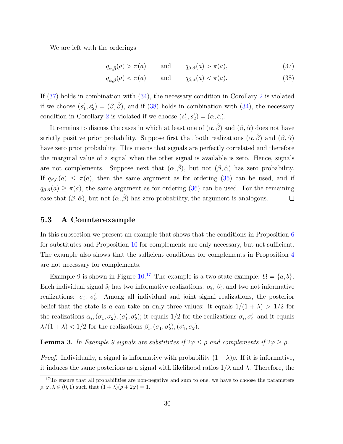We are left with the orderings

$$
q_{\alpha,\hat{\beta}}(a) > \pi(a) \quad \text{and} \quad q_{\beta,\hat{\alpha}}(a) > \pi(a), \tag{37}
$$

$$
q_{\alpha,\hat{\beta}}(a) < \pi(a) \qquad \text{and} \qquad q_{\beta,\hat{\alpha}}(a) < \pi(a). \tag{38}
$$

If  $(37)$  holds in combination with  $(34)$ , the necessary condition in Corollary 2 is violated if we choose  $(s'_1, s'_2) = (\beta, \hat{\beta})$ , and if (38) holds in combination with (34), the necessary condition in Corollary 2 is violated if we choose  $(s'_1, s'_2) = (\alpha, \hat{\alpha})$ .

It remains to discuss the cases in which at least one of  $(\alpha, \hat{\beta})$  and  $(\beta, \hat{\alpha})$  does not have strictly positive prior probability. Suppose first that both realizations  $(\alpha, \beta)$  and  $(\beta, \hat{\alpha})$ have zero prior probability. This means that signals are perfectly correlated and therefore the marginal value of a signal when the other signal is available is zero. Hence, signals are not complements. Suppose next that  $(\alpha, \hat{\beta})$ , but not  $(\beta, \hat{\alpha})$  has zero probability. If  $q_{\beta,\hat{\alpha}}(a) \leq \pi(a)$ , then the same argument as for ordering (35) can be used, and if  $q_{\beta,\hat{\alpha}}(a) \geq \pi(a)$ , the same argument as for ordering (36) can be used. For the remaining case that  $(\beta, \hat{\alpha})$ , but not  $(\alpha, \hat{\beta})$  has zero probability, the argument is analogous.  $\Box$ 

#### 5.3 A Counterexample

In this subsection we present an example that shows that the conditions in Proposition 6 for substitutes and Proposition 10 for complements are only necessary, but not sufficient. The example also shows that the sufficient conditions for complements in Proposition 4 are not necessary for complements.

Example 9 is shown in Figure  $10^{17}$  The example is a two state example:  $\Omega = \{a, b\}.$ Each individual signal  $\tilde{s}_i$  has two informative realizations:  $\alpha_i$ ,  $\beta_i$ , and two not informative realizations:  $\sigma_i$ ,  $\sigma'_i$ . Among all individual and joint signal realizations, the posterior belief that the state is a can take on only three values: it equals  $1/(1 + \lambda) > 1/2$  for the realizations  $\alpha_i, (\sigma_1, \sigma_2), (\sigma'_1, \sigma'_2)$ ; it equals 1/2 for the realizations  $\sigma_i, \sigma'_i$ ; and it equals  $\lambda/(1+\lambda) < 1/2$  for the realizations  $\beta_i$ ,  $(\sigma_1, \sigma_2)$ ,  $(\sigma_1', \sigma_2)$ .

**Lemma 3.** In Example 9 signals are substitutes if  $2\varphi \le \rho$  and complements if  $2\varphi \ge \rho$ .

*Proof.* Individually, a signal is informative with probability  $(1 + \lambda)\rho$ . If it is informative, it induces the same posteriors as a signal with likelihood ratios  $1/\lambda$  and  $\lambda$ . Therefore, the

<sup>&</sup>lt;sup>17</sup>To ensure that all probabilities are non-negative and sum to one, we have to choose the parameters  $\rho, \varphi, \lambda \in (0, 1)$  such that  $(1 + \lambda)(\rho + 2\varphi) = 1$ .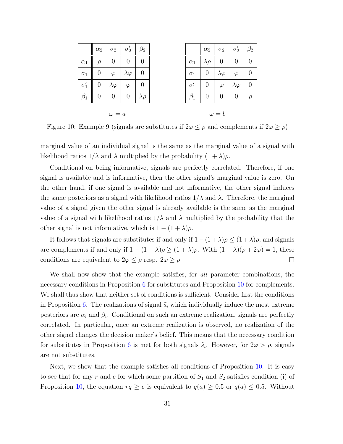| 0<br>$\theta$<br>0<br>$\rho$<br>$\theta$<br>0<br>$\varphi$<br>$\lambda\varphi$<br>$\boldsymbol{0}$<br>$\left( \right)$<br>$\lambda\varphi$<br>$\varphi$ | $\alpha_1$<br>$\sigma_1$<br>$\sigma'_{1}$<br>0<br>$\theta$<br>0<br>$\lambda \rho$ |               | $\alpha_2$       | $\sigma_2$        | $\sigma_2'$      |
|---------------------------------------------------------------------------------------------------------------------------------------------------------|-----------------------------------------------------------------------------------|---------------|------------------|-------------------|------------------|
|                                                                                                                                                         |                                                                                   | $\alpha_1$    | $\lambda \rho$   | U                 | $\theta$         |
|                                                                                                                                                         |                                                                                   | $\sigma_1$    | $\boldsymbol{0}$ | $\lambda \varphi$ | $\varphi$        |
|                                                                                                                                                         |                                                                                   | $\sigma'_{1}$ | $\boldsymbol{0}$ | $\varphi$         | $\lambda\varphi$ |
|                                                                                                                                                         |                                                                                   |               | $\overline{0}$   | $\overline{0}$    | $\overline{0}$   |

Figure 10: Example 9 (signals are substitutes if  $2\varphi \le \rho$  and complements if  $2\varphi \ge \rho$ )

marginal value of an individual signal is the same as the marginal value of a signal with likelihood ratios  $1/\lambda$  and  $\lambda$  multiplied by the probability  $(1 + \lambda)\rho$ .

Conditional on being informative, signals are perfectly correlated. Therefore, if one signal is available and is informative, then the other signal's marginal value is zero. On the other hand, if one signal is available and not informative, the other signal induces the same posteriors as a signal with likelihood ratios  $1/\lambda$  and  $\lambda$ . Therefore, the marginal value of a signal given the other signal is already available is the same as the marginal value of a signal with likelihood ratios  $1/\lambda$  and  $\lambda$  multiplied by the probability that the other signal is not informative, which is  $1 - (1 + \lambda)\rho$ .

It follows that signals are substitutes if and only if  $1-(1+\lambda)\rho \leq (1+\lambda)\rho$ , and signals are complements if and only if  $1 - (1 + \lambda)\rho \ge (1 + \lambda)\rho$ . With  $(1 + \lambda)(\rho + 2\varphi) = 1$ , these conditions are equivalent to  $2\varphi \leq \rho$  resp.  $2\varphi \geq \rho$ .  $\Box$ 

We shall now show that the example satisfies, for all parameter combinations, the necessary conditions in Proposition 6 for substitutes and Proposition 10 for complements. We shall thus show that neither set of conditions is sufficient. Consider first the conditions in Proposition 6. The realizations of signal  $\tilde{s}_i$  which individually induce the most extreme posteriors are  $\alpha_i$  and  $\beta_i$ . Conditional on such an extreme realization, signals are perfectly correlated. In particular, once an extreme realization is observed, no realization of the other signal changes the decision maker's belief. This means that the necessary condition for substitutes in Proposition 6 is met for both signals  $\tilde{s}_i$ . However, for  $2\varphi > \rho$ , signals are not substitutes.

Next, we show that the example satisfies all conditions of Proposition 10. It is easy to see that for any r and e for which some partition of  $S_1$  and  $S_2$  satisfies condition (i) of Proposition 10, the equation  $rq \ge e$  is equivalent to  $q(a) \ge 0.5$  or  $q(a) \le 0.5$ . Without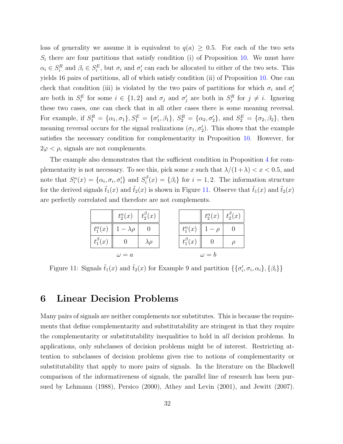loss of generality we assume it is equivalent to  $q(a) \geq 0.5$ . For each of the two sets  $S_i$  there are four partitions that satisfy condition (i) of Proposition 10. We must have  $\alpha_i \in S_i^R$  and  $\beta_i \in S_i^E$ , but  $\sigma_i$  and  $\sigma'_i$  can each be allocated to either of the two sets. This yields 16 pairs of partitions, all of which satisfy condition (ii) of Proposition 10. One can check that condition (iii) is violated by the two pairs of partitions for which  $\sigma_i$  and  $\sigma'_i$ are both in  $S_i^E$  for some  $i \in \{1,2\}$  and  $\sigma_j$  and  $\sigma'_j$  are both in  $S_j^R$  for  $j \neq i$ . Ignoring these two cases, one can check that in all other cases there is some meaning reversal. For example, if  $S_1^R = {\alpha_1, \sigma_1}, S_1^E = {\sigma'_1, \beta_1}, S_2^R = {\alpha_2, \sigma'_2}, \text{ and } S_2^E = {\sigma_2, \beta_2}, \text{ then}$ meaning reversal occurs for the signal realizations  $(\sigma_1, \sigma_2')$ . This shows that the example satisfies the necessary condition for complementarity in Proposition 10. However, for  $2\varphi < \rho$ , signals are not complements.

The example also demonstrates that the sufficient condition in Proposition 4 for complementarity is not necessary. To see this, pick some x such that  $\lambda/(1+\lambda) < x < 0.5$ , and note that  $S_i^{\alpha}(x) = {\alpha_i, \sigma_i, \sigma'_i}$  and  $S_i^{\beta}$  $i(i) = {\beta_i}$  for  $i = 1, 2$ . The information structure for the derived signals  $\tilde{t}_1(x)$  and  $\tilde{t}_2(x)$  is shown in Figure 11. Observe that  $\tilde{t}_1(x)$  and  $\tilde{t}_2(x)$ are perfectly correlated and therefore are not complements.

|                   | $t_2^{\alpha}(x)$ $\mid t_2^{\beta}(x)$ |                |                   | $t_2^{\alpha}(x)   t_2^{\beta}(x)$ |  |
|-------------------|-----------------------------------------|----------------|-------------------|------------------------------------|--|
| $t_1^{\alpha}(x)$ | $1 - \lambda \rho$                      |                | $t_1^{\alpha}(x)$ | $1-\rho$                           |  |
| $t_1^{\beta}(x)$  |                                         | $\lambda \rho$ | $t_1^{\beta}(x)$  |                                    |  |
|                   | $\omega = a$                            |                |                   | $\omega = b$                       |  |

Figure 11: Signals  $\tilde{t}_1(x)$  and  $\tilde{t}_2(x)$  for Example 9 and partition  $\{\{\sigma'_i, \sigma_i, \alpha_i\}, \{\beta_i\}\}\$ 

### 6 Linear Decision Problems

Many pairs of signals are neither complements nor substitutes. This is because the requirements that define complementarity and substitutability are stringent in that they require the complementarity or substitutability inequalities to hold in all decision problems. In applications, only subclasses of decision problems might be of interest. Restricting attention to subclasses of decision problems gives rise to notions of complementarity or substitutability that apply to more pairs of signals. In the literature on the Blackwell comparison of the informativeness of signals, the parallel line of research has been pursued by Lehmann (1988), Persico (2000), Athey and Levin (2001), and Jewitt (2007).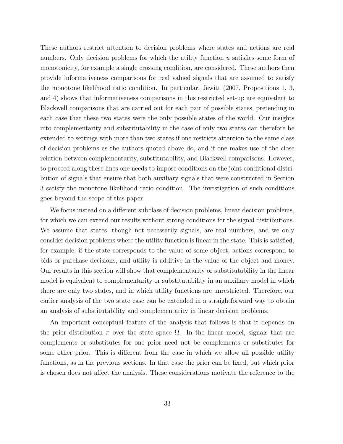These authors restrict attention to decision problems where states and actions are real numbers. Only decision problems for which the utility function  $u$  satisfies some form of monotonicity, for example a single crossing condition, are considered. These authors then provide informativeness comparisons for real valued signals that are assumed to satisfy the monotone likelihood ratio condition. In particular, Jewitt (2007, Propositions 1, 3, and 4) shows that informativeness comparisons in this restricted set-up are equivalent to Blackwell comparisons that are carried out for each pair of possible states, pretending in each case that these two states were the only possible states of the world. Our insights into complementarity and substitutability in the case of only two states can therefore be extended to settings with more than two states if one restricts attention to the same class of decision problems as the authors quoted above do, and if one makes use of the close relation between complementarity, substitutability, and Blackwell comparisons. However, to proceed along these lines one needs to impose conditions on the joint conditional distribution of signals that ensure that both auxiliary signals that were constructed in Section 3 satisfy the monotone likelihood ratio condition. The investigation of such conditions goes beyond the scope of this paper.

We focus instead on a different subclass of decision problems, linear decision problems, for which we can extend our results without strong conditions for the signal distributions. We assume that states, though not necessarily signals, are real numbers, and we only consider decision problems where the utility function is linear in the state. This is satisfied, for example, if the state corresponds to the value of some object, actions correspond to bids or purchase decisions, and utility is additive in the value of the object and money. Our results in this section will show that complementarity or substitutability in the linear model is equivalent to complementarity or substitutability in an auxiliary model in which there are only two states, and in which utility functions are unrestricted. Therefore, our earlier analysis of the two state case can be extended in a straightforward way to obtain an analysis of substitutability and complementarity in linear decision problems.

An important conceptual feature of the analysis that follows is that it depends on the prior distribution  $\pi$  over the state space  $\Omega$ . In the linear model, signals that are complements or substitutes for one prior need not be complements or substitutes for some other prior. This is different from the case in which we allow all possible utility functions, as in the previous sections. In that case the prior can be fixed, but which prior is chosen does not affect the analysis. These considerations motivate the reference to the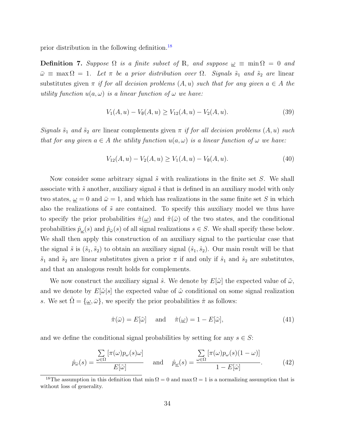prior distribution in the following definition.<sup>18</sup>

**Definition 7.** Suppose  $\Omega$  is a finite subset of R, and suppose  $\underline{\omega} \equiv \min \Omega = 0$  and  $\bar{\omega} \equiv \max \Omega = 1$ . Let  $\pi$  be a prior distribution over  $\Omega$ . Signals  $\tilde{s}_1$  and  $\tilde{s}_2$  are linear substitutes given  $\pi$  if for all decision problems  $(A, u)$  such that for any given  $a \in A$  the utility function  $u(a, \omega)$  is a linear function of  $\omega$  we have:

$$
V_1(A, u) - V_0(A, u) \ge V_{12}(A, u) - V_2(A, u). \tag{39}
$$

Signals  $\tilde{s}_1$  and  $\tilde{s}_2$  are linear complements given  $\pi$  if for all decision problems  $(A, u)$  such that for any given  $a \in A$  the utility function  $u(a, \omega)$  is a linear function of  $\omega$  we have:

$$
V_{12}(A, u) - V_2(A, u) \ge V_1(A, u) - V_0(A, u). \tag{40}
$$

Now consider some arbitrary signal  $\tilde{s}$  with realizations in the finite set S. We shall associate with  $\tilde{s}$  another, auxiliary signal  $\hat{s}$  that is defined in an auxiliary model with only two states,  $\omega = 0$  and  $\bar{\omega} = 1$ , and which has realizations in the same finite set S in which also the realizations of  $\tilde{s}$  are contained. To specify this auxiliary model we thus have to specify the prior probabilities  $\hat{\pi}(\underline{\omega})$  and  $\hat{\pi}(\overline{\omega})$  of the two states, and the conditional probabilities  $\hat{p}_{\omega}(s)$  and  $\hat{p}_{\bar{\omega}}(s)$  of all signal realizations  $s \in S$ . We shall specify these below. We shall then apply this construction of an auxiliary signal to the particular case that the signal  $\tilde{s}$  is  $(\tilde{s}_1, \tilde{s}_2)$  to obtain an auxiliary signal  $(\hat{s}_1, \hat{s}_2)$ . Our main result will be that  $\tilde{s}_1$  and  $\tilde{s}_2$  are linear substitutes given a prior  $\pi$  if and only if  $\hat{s}_1$  and  $\hat{s}_2$  are substitutes, and that an analogous result holds for complements.

We now construct the auxiliary signal  $\hat{s}$ . We denote by  $E[\tilde{\omega}]$  the expected value of  $\tilde{\omega}$ , and we denote by  $E[\tilde{\omega}|s]$  the expected value of  $\tilde{\omega}$  conditional on some signal realization s. We set  $\hat{\Omega} = {\omega, \bar{\omega}}$ , we specify the prior probabilities  $\hat{\pi}$  as follows:

$$
\hat{\pi}(\bar{\omega}) = E[\tilde{\omega}] \quad \text{and} \quad \hat{\pi}(\underline{\omega}) = 1 - E[\tilde{\omega}], \tag{41}
$$

and we define the conditional signal probabilities by setting for any  $s \in S$ :

$$
\hat{p}_{\bar{\omega}}(s) = \frac{\sum\limits_{\omega \in \Omega} \left[ \pi(\omega) p_{\omega}(s) \omega \right]}{E[\tilde{\omega}]} \quad \text{and} \quad \hat{p}_{\underline{\omega}}(s) = \frac{\sum\limits_{\omega \in \Omega} \left[ \pi(\omega) p_{\omega}(s) (1 - \omega) \right]}{1 - E[\tilde{\omega}]}.
$$
\n(42)

<sup>&</sup>lt;sup>18</sup>The assumption in this definition that min  $\Omega = 0$  and max  $\Omega = 1$  is a normalizing assumption that is without loss of generality.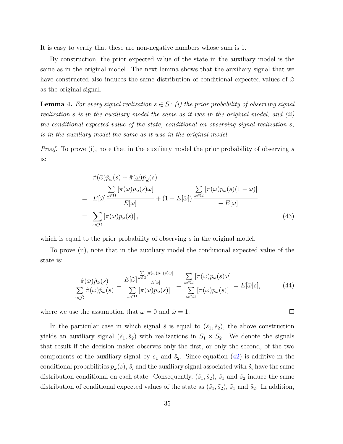It is easy to verify that these are non-negative numbers whose sum is 1.

By construction, the prior expected value of the state in the auxiliary model is the same as in the original model. The next lemma shows that the auxiliary signal that we have constructed also induces the same distribution of conditional expected values of  $\tilde{\omega}$ as the original signal.

**Lemma 4.** For every signal realization  $s \in S$ : (i) the prior probability of observing signal realization s is in the auxiliary model the same as it was in the original model; and (ii) the conditional expected value of the state, conditional on observing signal realization s, is in the auxiliary model the same as it was in the original model.

*Proof.* To prove (i), note that in the auxiliary model the prior probability of observing s is:

$$
\hat{\pi}(\bar{\omega})\hat{p}_{\bar{\omega}}(s) + \hat{\pi}(\underline{\omega})\hat{p}_{\underline{\omega}}(s) \n= E[\tilde{\omega}]\frac{\sum\limits_{\omega \in \Omega} [\pi(\omega)p_{\omega}(s)\omega]}{E[\tilde{\omega}]} + (1 - E[\tilde{\omega}])\frac{\sum\limits_{\omega \in \Omega} [\pi(\omega)p_{\omega}(s)(1 - \omega)]}{1 - E[\tilde{\omega}]} \n= \sum_{\omega \in \Omega} [\pi(\omega)p_{\omega}(s)],
$$
\n(43)

which is equal to the prior probability of observing s in the original model.

To prove (ii), note that in the auxiliary model the conditional expected value of the state is:

$$
\frac{\hat{\pi}(\bar{\omega})\hat{p}_{\bar{\omega}}(s)}{\sum_{\omega \in \hat{\Omega}} \hat{\pi}(\omega)\hat{p}_{\omega}(s)} = \frac{E[\tilde{\omega}] \frac{\sum \left[\pi(\omega)p_{\omega}(s)\omega\right]}{E[\tilde{\omega}]}}{\sum_{\omega \in \Omega} \left[\pi(\omega)p_{\omega}(s)\right]} = \frac{\sum \left[\pi(\omega)p_{\omega}(s)\omega\right]}{\sum \left[\pi(\omega)p_{\omega}(s)\right]} = E[\tilde{\omega}|s],\tag{44}
$$

where we use the assumption that  $\underline{\omega} = 0$  and  $\overline{\omega} = 1$ .

In the particular case in which signal  $\tilde{s}$  is equal to  $(\tilde{s}_1, \tilde{s}_2)$ , the above construction yields an auxiliary signal  $(\hat{s}_1, \hat{s}_2)$  with realizations in  $S_1 \times S_2$ . We denote the signals that result if the decision maker observes only the first, or only the second, of the two components of the auxiliary signal by  $\hat{s}_1$  and  $\hat{s}_2$ . Since equation (42) is additive in the conditional probabilities  $p_{\omega}(s)$ ,  $\hat{s}_i$  and the auxiliary signal associated with  $\tilde{s}_i$  have the same distribution conditional on each state. Consequently,  $(\hat{s}_1, \hat{s}_2)$ ,  $\hat{s}_1$  and  $\hat{s}_2$  induce the same distribution of conditional expected values of the state as  $(\tilde{s}_1, \tilde{s}_2)$ ,  $\tilde{s}_1$  and  $\tilde{s}_2$ . In addition,

 $\Box$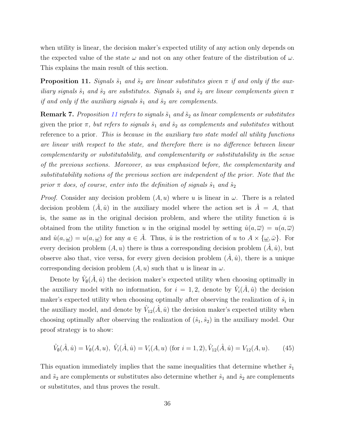when utility is linear, the decision maker's expected utility of any action only depends on the expected value of the state  $\omega$  and not on any other feature of the distribution of  $\omega$ . This explains the main result of this section.

**Proposition 11.** Signals  $\tilde{s}_1$  and  $\tilde{s}_2$  are linear substitutes given  $\pi$  if and only if the auxiliary signals  $\hat{s}_1$  and  $\hat{s}_2$  are substitutes. Signals  $\tilde{s}_1$  and  $\tilde{s}_2$  are linear complements given  $\pi$ if and only if the auxiliary signals  $\hat{s}_1$  and  $\hat{s}_2$  are complements.

Remark 7. Proposition 11 refers to signals  $\tilde{s}_1$  and  $\tilde{s}_2$  as linear complements or substitutes given the prior  $\pi$ , but refers to signals  $\hat{s}_1$  and  $\hat{s}_2$  as complements and substitutes without reference to a prior. This is because in the auxiliary two state model all utility functions are linear with respect to the state, and therefore there is no difference between linear complementarity or substitutability, and complementarity or substitutability in the sense of the previous sections. Moreover, as was emphasized before, the complementarity and substitutability notions of the previous section are independent of the prior. Note that the prior  $\pi$  does, of course, enter into the definition of signals  $\hat{s}_1$  and  $\hat{s}_2$ 

*Proof.* Consider any decision problem  $(A, u)$  where u is linear in  $\omega$ . There is a related decision problem  $(\hat{A}, \hat{u})$  in the auxiliary model where the action set is  $\hat{A} = A$ , that is, the same as in the original decision problem, and where the utility function  $\hat{u}$  is obtained from the utility function u in the original model by setting  $\hat{u}(a,\overline{\omega}) = u(a,\overline{\omega})$ and  $\hat{u}(a, \underline{\omega}) = u(a, \underline{\omega})$  for any  $a \in \hat{A}$ . Thus,  $\hat{u}$  is the restriction of u to  $A \times {\{\omega, \bar{\omega}\}}$ . For every decision problem  $(A, u)$  there is thus a corresponding decision problem  $(A, \hat{u})$ , but observe also that, vice versa, for every given decision problem  $(A, \hat{u})$ , there is a unique corresponding decision problem  $(A, u)$  such that u is linear in  $\omega$ .

Denote by  $\hat{V}_{\emptyset}(\hat{A}, \hat{u})$  the decision maker's expected utility when choosing optimally in the auxiliary model with no information, for  $i = 1, 2$ , denote by  $\hat{V}_i(\hat{A}, \hat{u})$  the decision maker's expected utility when choosing optimally after observing the realization of  $\hat{s}_i$  in the auxiliary model, and denote by  $\hat{V}_{12}(\hat{A}, \hat{u})$  the decision maker's expected utility when choosing optimally after observing the realization of  $(\hat{s}_1, \hat{s}_2)$  in the auxiliary model. Our proof strategy is to show:

$$
\hat{V}_{\emptyset}(\hat{A},\hat{u}) = V_{\emptyset}(A,u), \ \hat{V}_{i}(\hat{A},\hat{u}) = V_{i}(A,u) \text{ (for } i = 1,2), \hat{V}_{12}(\hat{A},\hat{u}) = V_{12}(A,u). \tag{45}
$$

This equation immediately implies that the same inequalities that determine whether  $\tilde{s}_1$ and  $\tilde{s}_2$  are complements or substitutes also determine whether  $\hat{s}_1$  and  $\hat{s}_2$  are complements or substitutes, and thus proves the result.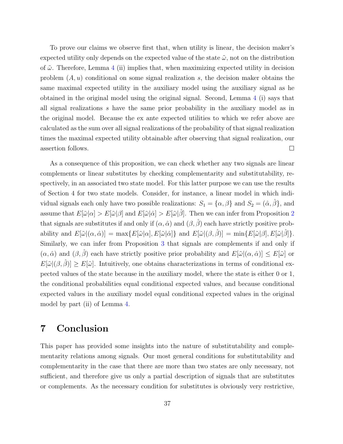To prove our claims we observe first that, when utility is linear, the decision maker's expected utility only depends on the expected value of the state  $\tilde{\omega}$ , not on the distribution of  $\tilde{\omega}$ . Therefore, Lemma 4 (ii) implies that, when maximizing expected utility in decision problem  $(A, u)$  conditional on some signal realization s, the decision maker obtains the same maximal expected utility in the auxiliary model using the auxiliary signal as he obtained in the original model using the original signal. Second, Lemma 4 (i) says that all signal realizations s have the same prior probability in the auxiliary model as in the original model. Because the ex ante expected utilities to which we refer above are calculated as the sum over all signal realizations of the probability of that signal realization times the maximal expected utility obtainable after observing that signal realization, our assertion follows.  $\Box$ 

As a consequence of this proposition, we can check whether any two signals are linear complements or linear substitutes by checking complementarity and substitutability, respectively, in an associated two state model. For this latter purpose we can use the results of Section 4 for two state models. Consider, for instance, a linear model in which individual signals each only have two possible realizations:  $S_1 = {\alpha, \beta}$  and  $S_2 = (\hat{\alpha}, \hat{\beta})$ , and assume that  $E[\tilde{\omega}|\alpha] > E[\tilde{\omega}|\beta]$  and  $E[\tilde{\omega}|\hat{\alpha}] > E[\tilde{\omega}|\hat{\beta}]$ . Then we can infer from Proposition 2 that signals are substitutes if and only if  $(\alpha, \hat{\alpha})$  and  $(\beta, \hat{\beta})$  each have strictly positive probability and  $E[\tilde{\omega}](\alpha, \hat{\alpha})] = \max \{ E[\tilde{\omega}|\alpha], E[\tilde{\omega}|\hat{\alpha}] \}$  and  $E[\tilde{\omega}|(\beta, \hat{\beta})] = \min \{ E[\tilde{\omega}|\beta], E[\tilde{\omega}|\hat{\beta}] \}.$ Similarly, we can infer from Proposition 3 that signals are complements if and only if  $(\alpha, \hat{\alpha})$  and  $(\beta, \hat{\beta})$  each have strictly positive prior probability and  $E[\tilde{\omega}](\alpha, \hat{\alpha})] \le E[\tilde{\omega}]$  or  $E[\tilde{\omega}](\beta, \hat{\beta})] \ge E[\tilde{\omega}]$ . Intuitively, one obtains characterizations in terms of conditional expected values of the state because in the auxiliary model, where the state is either 0 or 1, the conditional probabilities equal conditional expected values, and because conditional expected values in the auxiliary model equal conditional expected values in the original model by part (ii) of Lemma 4.

# 7 Conclusion

This paper has provided some insights into the nature of substitutability and complementarity relations among signals. Our most general conditions for substitutability and complementarity in the case that there are more than two states are only necessary, not sufficient, and therefore give us only a partial description of signals that are substitutes or complements. As the necessary condition for substitutes is obviously very restrictive,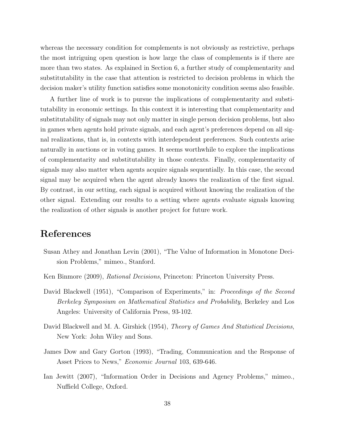whereas the necessary condition for complements is not obviously as restrictive, perhaps the most intriguing open question is how large the class of complements is if there are more than two states. As explained in Section 6, a further study of complementarity and substitutability in the case that attention is restricted to decision problems in which the decision maker's utility function satisfies some monotonicity condition seems also feasible.

A further line of work is to pursue the implications of complementarity and substitutability in economic settings. In this context it is interesting that complementarity and substitutability of signals may not only matter in single person decision problems, but also in games when agents hold private signals, and each agent's preferences depend on all signal realizations, that is, in contexts with interdependent preferences. Such contexts arise naturally in auctions or in voting games. It seems worthwhile to explore the implications of complementarity and substitutability in those contexts. Finally, complementarity of signals may also matter when agents acquire signals sequentially. In this case, the second signal may be acquired when the agent already knows the realization of the first signal. By contrast, in our setting, each signal is acquired without knowing the realization of the other signal. Extending our results to a setting where agents evaluate signals knowing the realization of other signals is another project for future work.

## References

- Susan Athey and Jonathan Levin (2001), "The Value of Information in Monotone Decision Problems," mimeo., Stanford.
- Ken Binmore (2009), Rational Decisions, Princeton: Princeton University Press.
- David Blackwell (1951), "Comparison of Experiments," in: Proceedings of the Second Berkeley Symposium on Mathematical Statistics and Probability, Berkeley and Los Angeles: University of California Press, 93-102.
- David Blackwell and M. A. Girshick (1954), *Theory of Games And Statistical Decisions*, New York: John Wiley and Sons.
- James Dow and Gary Gorton (1993), "Trading, Communication and the Response of Asset Prices to News," Economic Journal 103, 639-646.
- Ian Jewitt (2007), "Information Order in Decisions and Agency Problems," mimeo., Nuffield College, Oxford.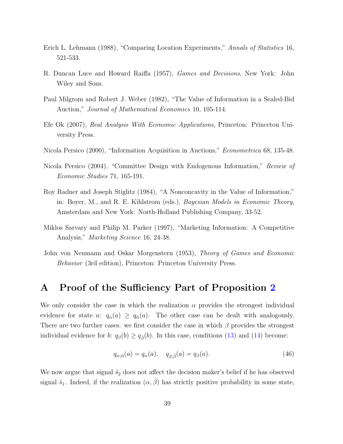- Erich L. Lehmann (1988), "Comparing Location Experiments," Annals of Statistics 16, 521-533.
- R. Duncan Luce and Howard Raiffa (1957), Games and Decisions, New York: John Wiley and Sons.
- Paul Milgrom and Robert J. Weber (1982), "The Value of Information in a Sealed-Bid Auction," Journal of Mathematical Economics 10, 105-114.
- Efe Ok (2007), Real Analysis With Economic Applications, Princeton: Princeton University Press.
- Nicola Persico (2000), "Information Acquisition in Auctions," Econometrica 68, 135-48.
- Nicola Persico (2004), "Committee Design with Endogenous Information," Review of Economic Studies 71, 165-191.
- Roy Radner and Joseph Stiglitz (1984), "A Nonconcavity in the Value of Information," in: Boyer, M., and R. E. Kihlstrom (eds.), Bayesian Models in Economic Theory, Amsterdam and New York: North-Holland Publishing Company, 33-52.
- Miklos Sarvary and Philip M. Parker (1997), "Marketing Information: A Competitive Analysis," Marketing Science 16, 24-38.
- John von Neumann and Oskar Morgenstern (1953), Theory of Games and Economic Behavior (3rd edition), Princeton: Princeton University Press.

# A Proof of the Sufficiency Part of Proposition 2

We only consider the case in which the realization  $\alpha$  provides the strongest individual evidence for state a:  $q_{\alpha}(a) \geq q_{\hat{\alpha}}(a)$ . The other case can be dealt with analogously. There are two further cases: we first consider the case in which  $\beta$  provides the strongest individual evidence for b:  $q_\beta(b) \geq q_{\hat{\beta}}(b)$ . In this case, conditions (13) and (14) become:

$$
q_{\alpha,\hat{\alpha}}(a) = q_{\alpha}(a), \quad q_{\beta,\hat{\beta}}(a) = q_{\beta}(a). \tag{46}
$$

We now argue that signal  $\tilde{s}_2$  does not affect the decision maker's belief if he has observed signal  $\tilde{s}_1$ . Indeed, if the realization  $(\alpha, \hat{\beta})$  has strictly positive probability in some state,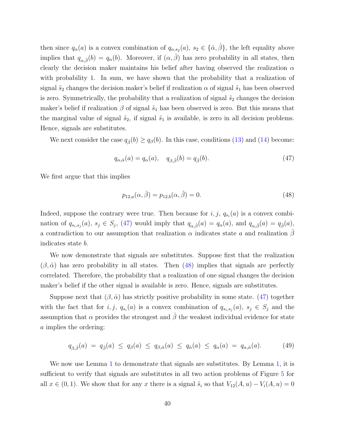then since  $q_{\alpha}(a)$  is a convex combination of  $q_{\alpha,s_2}(a), s_2 \in {\hat{\alpha}, \hat{\beta}}$ , the left equality above implies that  $q_{\alpha,\hat{\beta}}(b) = q_{\alpha}(b)$ . Moreover, if  $(\alpha,\hat{\beta})$  has zero probability in all states, then clearly the decision maker maintains his belief after having observed the realization  $\alpha$ with probability 1. In sum, we have shown that the probability that a realization of signal  $\tilde{s}_2$  changes the decision maker's belief if realization  $\alpha$  of signal  $\tilde{s}_1$  has been observed is zero. Symmetrically, the probability that a realization of signal  $\tilde{s}_2$  changes the decision maker's belief if realization  $\beta$  of signal  $\tilde{s}_1$  has been observed is zero. But this means that the marginal value of signal  $\tilde{s}_2$ , if signal  $\tilde{s}_1$  is available, is zero in all decision problems. Hence, signals are substitutes.

We next consider the case  $q_{\hat{\beta}}(b) \geq q_{\beta}(b)$ . In this case, conditions (13) and (14) become:

$$
q_{\alpha,\hat{\alpha}}(a) = q_{\alpha}(a), \quad q_{\beta,\hat{\beta}}(b) = q_{\hat{\beta}}(b). \tag{47}
$$

We first argue that this implies

$$
p_{12,a}(\alpha, \hat{\beta}) = p_{12,b}(\alpha, \hat{\beta}) = 0.
$$
\n(48)

Indeed, suppose the contrary were true. Then because for  $i, j, q_{s_i}(a)$  is a convex combination of  $q_{s_i,s_j}(a)$ ,  $s_j \in S_j$ , (47) would imply that  $q_{\alpha,\hat{\beta}}(a) = q_\alpha(a)$ , and  $q_{\alpha,\hat{\beta}}(a) = q_{\hat{\beta}}(a)$ , a contradiction to our assumption that realization  $\alpha$  indicates state a and realization  $\beta$ indicates state b.

We now demonstrate that signals are substitutes. Suppose first that the realization  $(\beta, \hat{\alpha})$  has zero probability in all states. Then (48) implies that signals are perfectly correlated. Therefore, the probability that a realization of one signal changes the decision maker's belief if the other signal is available is zero. Hence, signals are substitutes.

Suppose next that  $(\beta, \hat{\alpha})$  has strictly positive probability in some state. (47) together with the fact that for  $i, j, q_{s_i}(a)$  is a convex combination of  $q_{s_i,s_j}(a), s_j \in S_j$  and the assumption that  $\alpha$  provides the strongest and  $\hat{\beta}$  the weakest individual evidence for state a implies the ordering:

$$
q_{\beta,\hat{\beta}}(a) = q_{\hat{\beta}}(a) \le q_{\beta}(a) \le q_{\beta,\hat{\alpha}}(a) \le q_{\hat{\alpha}}(a) \le q_{\alpha}(a) = q_{\alpha,\hat{\alpha}}(a). \tag{49}
$$

We now use Lemma 1 to demonstrate that signals are substitutes. By Lemma 1, it is sufficient to verify that signals are substitutes in all two action problems of Figure 5 for all  $x \in (0,1)$ . We show that for any x there is a signal  $\tilde{s}_i$  so that  $V_{12}(A, u) - V_i(A, u) = 0$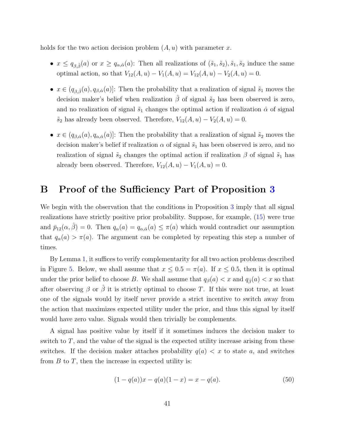holds for the two action decision problem  $(A, u)$  with parameter x.

- $x \le q_{\beta,\hat{\beta}}(a)$  or  $x \ge q_{\alpha,\hat{\alpha}}(a)$ : Then all realizations of  $(\tilde{s}_1, \tilde{s}_2), \tilde{s}_1, \tilde{s}_2$  induce the same optimal action, so that  $V_{12}(A, u) - V_1(A, u) = V_{12}(A, u) - V_2(A, u) = 0.$
- $x \in (q_{\beta,\hat{\beta}}(a), q_{\beta,\hat{\alpha}}(a)]$ : Then the probability that a realization of signal  $\tilde{s}_1$  moves the decision maker's belief when realization  $\hat{\beta}$  of signal  $\tilde{s}_2$  has been observed is zero, and no realization of signal  $\tilde{s}_1$  changes the optimal action if realization  $\hat{\alpha}$  of signal  $\tilde{s}_2$  has already been observed. Therefore,  $V_{12}(A, u) - V_2(A, u) = 0$ .
- $x \in (q_{\beta,\hat{\alpha}}(a), q_{\alpha,\hat{\alpha}}(a))$ : Then the probability that a realization of signal  $\tilde{s}_2$  moves the decision maker's belief if realization  $\alpha$  of signal  $\tilde{s}_1$  has been observed is zero, and no realization of signal  $\tilde{s}_2$  changes the optimal action if realization  $\beta$  of signal  $\tilde{s}_1$  has already been observed. Therefore,  $V_{12}(A, u) - V_1(A, u) = 0$ .

## B Proof of the Sufficiency Part of Proposition 3

We begin with the observation that the conditions in Proposition 3 imply that all signal realizations have strictly positive prior probability. Suppose, for example, (15) were true and  $\bar{p}_{12}(\alpha, \hat{\beta}) = 0$ . Then  $q_{\alpha}(a) = q_{\alpha, \hat{\alpha}}(a) \leq \pi(a)$  which would contradict our assumption that  $q_{\alpha}(a) > \pi(a)$ . The argument can be completed by repeating this step a number of times.

By Lemma 1, it suffices to verify complementarity for all two action problems described in Figure 5. Below, we shall assume that  $x \leq 0.5 = \pi(a)$ . If  $x \leq 0.5$ , then it is optimal under the prior belief to choose B. We shall assume that  $q_{\beta}(a) < x$  and  $q_{\hat{\beta}}(a) < x$  so that after observing  $\beta$  or  $\hat{\beta}$  it is strictly optimal to choose T. If this were not true, at least one of the signals would by itself never provide a strict incentive to switch away from the action that maximizes expected utility under the prior, and thus this signal by itself would have zero value. Signals would then trivially be complements.

A signal has positive value by itself if it sometimes induces the decision maker to switch to  $T$ , and the value of the signal is the expected utility increase arising from these switches. If the decision maker attaches probability  $q(a) < x$  to state a, and switches from  $B$  to  $T$ , then the increase in expected utility is:

$$
(1 - q(a))x - q(a)(1 - x) = x - q(a).
$$
\n(50)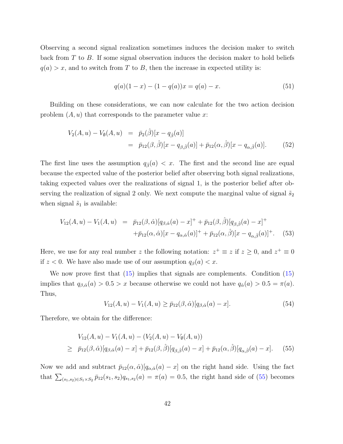Observing a second signal realization sometimes induces the decision maker to switch back from T to B. If some signal observation induces the decision maker to hold beliefs  $q(a) > x$ , and to switch from T to B, then the increase in expected utility is:

$$
q(a)(1-x) - (1 - q(a))x = q(a) - x.
$$
\n(51)

Building on these considerations, we can now calculate for the two action decision problem  $(A, u)$  that corresponds to the parameter value x:

$$
V_2(A, u) - V_{\emptyset}(A, u) = \bar{p}_2(\hat{\beta})[x - q_{\hat{\beta}}(a)]
$$
  
=  $\bar{p}_{12}(\beta, \hat{\beta})[x - q_{\beta, \hat{\beta}}(a)] + \bar{p}_{12}(\alpha, \hat{\beta})[x - q_{\alpha, \hat{\beta}}(a)].$  (52)

The first line uses the assumption  $q_{\hat{\beta}}(a) < x$ . The first and the second line are equal because the expected value of the posterior belief after observing both signal realizations, taking expected values over the realizations of signal 1, is the posterior belief after observing the realization of signal 2 only. We next compute the marginal value of signal  $\tilde{s}_2$ when signal  $\tilde{s}_1$  is available:

$$
V_{12}(A, u) - V_1(A, u) = \bar{p}_{12}(\beta, \hat{\alpha})[q_{\beta, \hat{\alpha}}(a) - x]^{+} + \bar{p}_{12}(\beta, \hat{\beta})[q_{\beta, \hat{\beta}}(a) - x]^{+} + \bar{p}_{12}(\alpha, \hat{\alpha})[x - q_{\alpha, \hat{\alpha}}(a)]^{+} + \bar{p}_{12}(\alpha, \hat{\beta})[x - q_{\alpha, \hat{\beta}}(a)]^{+}.
$$
 (53)

Here, we use for any real number z the following notation:  $z^+ \equiv z$  if  $z \ge 0$ , and  $z^+ \equiv 0$ if  $z < 0$ . We have also made use of our assumption  $q_{\beta}(a) < x$ .

We now prove first that (15) implies that signals are complements. Condition (15) implies that  $q_{\beta,\hat{\alpha}}(a) > 0.5 > x$  because otherwise we could not have  $q_{\hat{\alpha}}(a) > 0.5 = \pi(a)$ . Thus,

$$
V_{12}(A, u) - V_1(A, u) \ge \bar{p}_{12}(\beta, \hat{\alpha})[q_{\beta, \hat{\alpha}}(a) - x]. \tag{54}
$$

Therefore, we obtain for the difference:

$$
V_{12}(A, u) - V_1(A, u) - (V_2(A, u) - V_0(A, u))
$$
  
\n
$$
\geq \bar{p}_{12}(\beta, \hat{\alpha})[q_{\beta, \hat{\alpha}}(a) - x] + \bar{p}_{12}(\beta, \hat{\beta})[q_{\beta, \hat{\beta}}(a) - x] + \bar{p}_{12}(\alpha, \hat{\beta})[q_{\alpha, \hat{\beta}}(a) - x].
$$
 (55)

Now we add and subtract  $\bar{p}_{12}(\alpha, \hat{\alpha})[q_{\alpha, \hat{\alpha}}(a) - x]$  on the right hand side. Using the fact that  $\sum_{(s_1,s_2)\in S_1\times S_2} \bar{p}_{12}(s_1,s_2)q_{s_1,s_2}(a) = \pi(a) = 0.5$ , the right hand side of (55) becomes